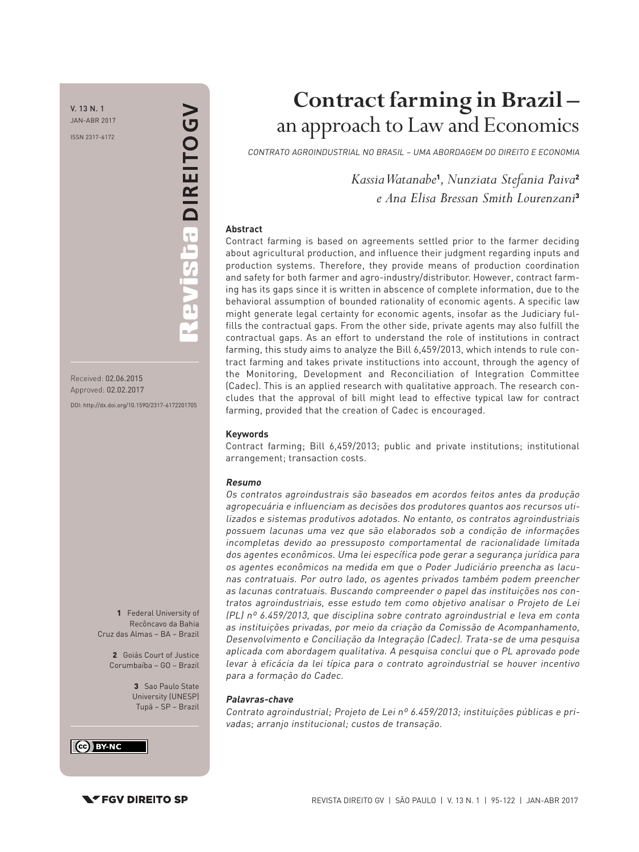V. 13 N. 1 JAN-ABR 2017

ISSN 2317-6172

# Revista DIREITOGV

Received: 02.06.2015 Approved: 02.02.2017 DOI: http://dx.doi.org/10.1590/2317-6172201705

> 1 Federal University of Recôncavo da Bahia Cruz das Almas – BA – Brazil

2 Goiás Court of Justice Corumbaíba – GO – Brazil

> 3 Sao Paulo State University (UNESP) Tupã – SP – Brazil

Cc) BY-NC

# **Contract farming in Brazil –**<br>an approach to Law and Economics

*CONTRATO AGROINDUSTRIAL NO BRASIL – UMA ABORDAGEM DO DIREITO E ECONOMIA*

# *KassiaWatanabe*1*,Nunziata Stefania Paiva*<sup>2</sup> *e Ana Elisa Bressan Smith Lourenzani*<sup>3</sup>

### **Abstract**

Contract farming is based on agreements settled prior to the farmer deciding about agricultural production, and influence their judgment regarding inputs and production systems. Therefore, they provide means of production coordination and safety for both farmer and agro-industry/distributor. However, contract farming has its gaps since it is written in abscence of complete information, due to the behavioral assumption of bounded rationality of economic agents. A specific law might generate legal certainty for economic agents, insofar as the Judiciary fulfills the contractual gaps. From the other side, private agents may also fulfill the contractual gaps. As an effort to understand the role of institutions in contract farming, this study aims to analyze the Bill 6,459/2013, which intends to rule contract farming and takes private instituctions into account, through the agency of the Monitoring, Development and Reconciliation of Integration Committee (Cadec). This is an applied research with qualitative approach. The research concludes that the approval of bill might lead to effective typical law for contract farming, provided that the creation of Cadec is encouraged.

### **Keywords**

Contract farming; Bill 6,459/2013; public and private institutions; institutional arrangement; transaction costs.

### *Resumo*

*Os contratos agroindustrais são baseados em acordos feitos antes da produção agropecuária e influenciam as decisões dos produtores quantos aos recursos utilizados e sistemas produtivos adotados. No entanto, os contratos agroindustriais possuem lacunas uma vez que são elaborados sob a condição de informações incompletas devido ao pressuposto comportamental de racionalidade limitada dos agentes econômicos. Uma lei específica pode gerar a segurança jurídica para os agentes econômicos na medida em que o Poder Judiciário preencha as lacunas contratuais. Por outro lado, os agentes privados também podem preencher as lacunas contratuais. Buscando compreender o papel das instituições nos contratos agroindustriais, esse estudo tem como objetivo analisar o Projeto de Lei (PL) nº 6.459/2013, que disciplina sobre contrato agroindustrial e leva em conta as instituições privadas, por meio da criação da Comissão de Acompanhamento, Desenvolvimento e Conciliação da Integração (Cadec). Trata-se de uma pesquisa aplicada com abordagem qualitativa. A pesquisa conclui que o PL aprovado pode levar à eficácia da lei típica para o contrato agroindustrial se houver incentivo para a formação do Cadec.*

### *Palavras-chave*

*Contrato agroindustrial; Projeto de Lei nº 6.459/2013; instituições públicas e privadas; arranjo institucional; custos de transação.*

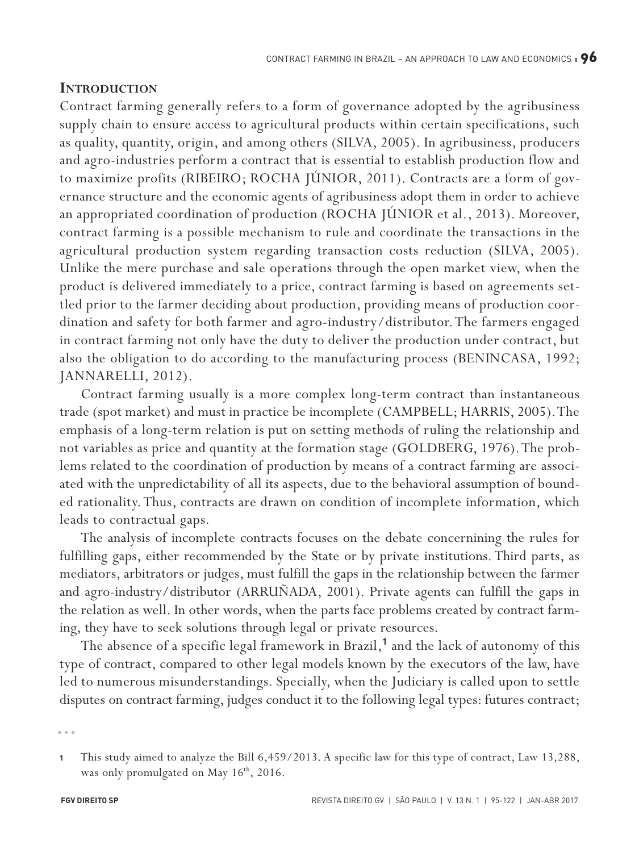# **INTRODUCTION**

Contract farming generally refers to a form of governance adopted by the agribusiness supply chain to ensure access to agricultural products within certain specifications, such as quality, quantity, origin, and among others (SILVA, 2005). In agribusiness, producers and agro-industries perform a contract that is essential to establish production flow and to maximize profits (RIBEIRO; ROCHA JÚNIOR, 2011). Contracts are a form of governance structure and the economic agents of agribusiness adopt them in order to achieve an appropriated coordination of production (ROCHA JÚNIOR et al., 2013). Moreover, contract farming is a possible mechanism to rule and coordinate the transactions in the agricultural production system regarding transaction costs reduction (SILVA, 2005). Unlike the mere purchase and sale operations through the open market view, when the product is delivered immediately to a price, contract farming is based on agreements settled prior to the farmer deciding about production, providing means of production coordination and safety for both farmer and agro-industry/distributor.The farmers engaged in contract farming not only have the duty to deliver the production under contract, but also the obligation to do according to the manufacturing process (BENINCASA, 1992; JANNARELLI, 2012).

Contract farming usually is a more complex long-term contract than instantaneous trade (spot market) and must in practice be incomplete (CAMPBELL; HARRIS, 2005).The emphasis of a long-term relation is put on setting methods of ruling the relationship and not variables as price and quantity at the formation stage (GOLDBERG, 1976).The problems related to the coordination of production by means of a contract farming are associated with the unpredictability of all its aspects, due to the behavioral assumption of bounded rationality.Thus, contracts are drawn on condition of incomplete information, which leads to contractual gaps.

The analysis of incomplete contracts focuses on the debate concernining the rules for fulfilling gaps, either recommended by the State or by private institutions. Third parts, as mediators, arbitrators or judges, must fulfill the gaps in the relationship between the farmer and agro-industry/distributor (ARRUÑADA, 2001). Private agents can fulfill the gaps in the relation as well. In other words, when the parts face problems created by contract farming, they have to seek solutions through legal or private resources.

The absence of a specific legal framework in Brazil, **<sup>1</sup>** and the lack of autonomy of this type of contract, compared to other legal models known by the executors of the law, have led to numerous misunderstandings. Specially, when the Judiciary is called upon to settle disputes on contract farming, judges conduct it to the following legal types: futures contract;

**<sup>1</sup>** This study aimed to analyze the Bill 6,459/2013. A specific law for this type of contract, Law 13,288, was only promulgated on May 16<sup>th</sup>, 2016.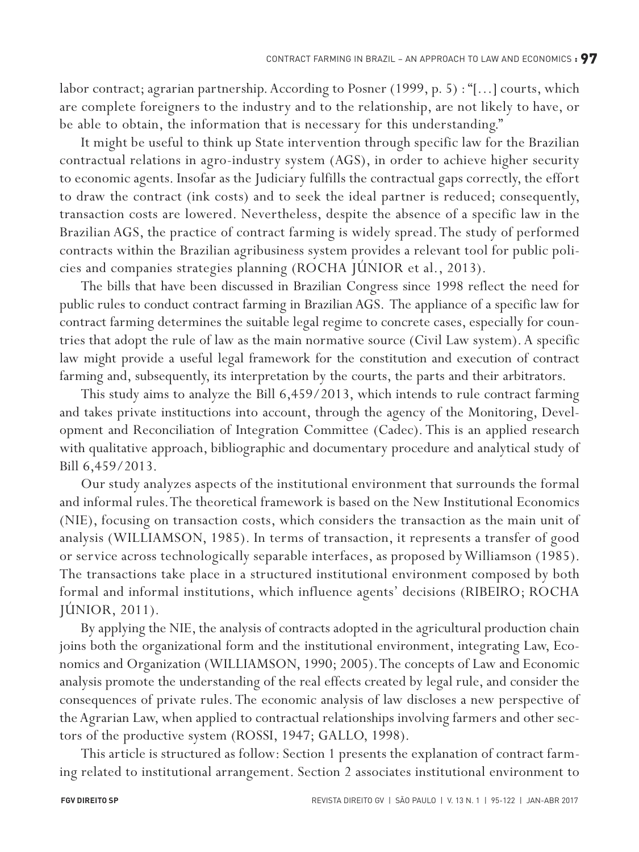labor contract; agrarian partnership. According to Posner (1999, p. 5) : "[...] courts, which are complete foreigners to the industry and to the relationship, are not likely to have, or be able to obtain, the information that is necessary for this understanding."

It might be useful to think up State intervention through specific law for the Brazilian contractual relations in agro-industry system (AGS), in order to achieve higher security to economic agents. Insofar as the Judiciary fulfills the contractual gaps correctly, the effort to draw the contract (ink costs) and to seek the ideal partner is reduced; consequently, transaction costs are lowered. Nevertheless, despite the absence of a specific law in the Brazilian AGS, the practice of contract farming is widely spread.The study of performed contracts within the Brazilian agribusiness system provides a relevant tool for public policies and companies strategies planning (ROCHA JÚNIOR et al., 2013).

The bills that have been discussed in Brazilian Congress since 1998 reflect the need for public rules to conduct contract farming in Brazilian AGS. The appliance of a specific law for contract farming determines the suitable legal regime to concrete cases, especially for countries that adopt the rule of law as the main normative source (Civil Law system).A specific law might provide a useful legal framework for the constitution and execution of contract farming and, subsequently, its interpretation by the courts, the parts and their arbitrators.

This study aims to analyze the Bill 6,459/2013, which intends to rule contract farming and takes private instituctions into account, through the agency of the Monitoring, Development and Reconciliation of Integration Committee (Cadec). This is an applied research with qualitative approach, bibliographic and documentary procedure and analytical study of Bill 6,459/2013.

Our study analyzes aspects of the institutional environment that surrounds the formal and informal rules.The theoretical framework is based on the New Institutional Economics (NIE), focusing on transaction costs, which considers the transaction as the main unit of analysis (WILLIAMSON, 1985). In terms of transaction, it represents a transfer of good or service across technologically separable interfaces, as proposed byWilliamson (1985). The transactions take place in a structured institutional environment composed by both formal and informal institutions, which influence agents' decisions (RIBEIRO; ROCHA JÚNIOR, 2011).

By applying the NIE, the analysis of contracts adopted in the agricultural production chain joins both the organizational form and the institutional environment, integrating Law, Economics and Organization (WILLIAMSON, 1990; 2005).The concepts of Law and Economic analysis promote the understanding of the real effects created by legal rule, and consider the consequences of private rules.The economic analysis of law discloses a new perspective of theAgrarian Law, when applied to contractual relationships involving farmers and other sectors of the productive system (ROSSI, 1947; GALLO, 1998).

This article is structured as follow: Section 1 presents the explanation of contract farming related to institutional arrangement. Section 2 associates institutional environment to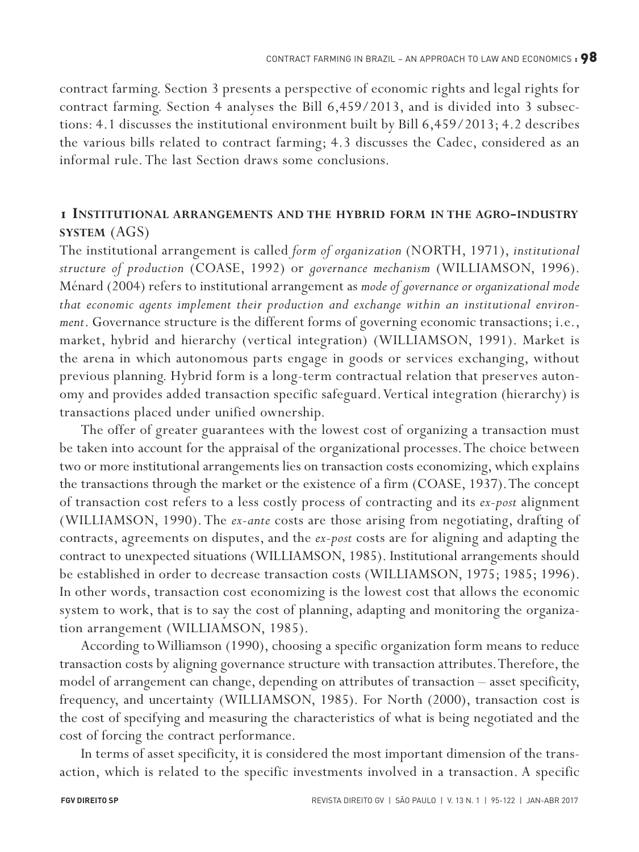contract farming. Section 3 presents a perspective of economic rights and legal rights for contract farming. Section 4 analyses the Bill 6,459/2013, and is divided into 3 subsections: 4.1 discusses the institutional environment built by Bill 6,459/2013; 4.2 describes the various bills related to contract farming; 4.3 discusses the Cadec, considered as an informal rule.The last Section draws some conclusions.

# **1 INSTITUTIONAL ARRANGEMENTS AND THE HYBRID FORM IN THE AGRO-INDUSTRY SYSTEM** (AGS)

The institutional arrangement is called *form of organization* (NORTH, 1971), *institutional structure of production* (COASE, 1992) or *governance mechanism* (WILLIAMSON, 1996). Ménard (2004) refers to institutional arrangement as *mode of governance or organizational mode that economic agents implement their production and exchange within an institutional environment*. Governance structure is the different forms of governing economic transactions; i.e., market, hybrid and hierarchy (vertical integration) (WILLIAMSON, 1991). Market is the arena in which autonomous parts engage in goods or services exchanging, without previous planning. Hybrid form is a long-term contractual relation that preserves autonomy and provides added transaction specific safeguard.Vertical integration (hierarchy) is transactions placed under unified ownership.

The offer of greater guarantees with the lowest cost of organizing a transaction must be taken into account for the appraisal of the organizational processes.The choice between two or more institutional arrangements lies on transaction costs economizing, which explains the transactions through the market or the existence of a firm (COASE, 1937).The concept of transaction cost refers to a less costly process of contracting and its *ex-post* alignment (WILLIAMSON, 1990). The *ex-ante* costs are those arising from negotiating, drafting of contracts, agreements on disputes, and the *ex-post* costs are for aligning and adapting the contract to unexpected situations (WILLIAMSON, 1985). Institutional arrangements should be established in order to decrease transaction costs (WILLIAMSON, 1975; 1985; 1996). In other words, transaction cost economizing is the lowest cost that allows the economic system to work, that is to say the cost of planning, adapting and monitoring the organization arrangement (WILLIAMSON, 1985).

According toWilliamson (1990), choosing a specific organization form means to reduce transaction costs by aligning governance structure with transaction attributes.Therefore, the model of arrangement can change, depending on attributes of transaction – asset specificity, frequency, and uncertainty (WILLIAMSON, 1985). For North (2000), transaction cost is the cost of specifying and measuring the characteristics of what is being negotiated and the cost of forcing the contract performance.

In terms of asset specificity, it is considered the most important dimension of the transaction, which is related to the specific investments involved in a transaction. A specific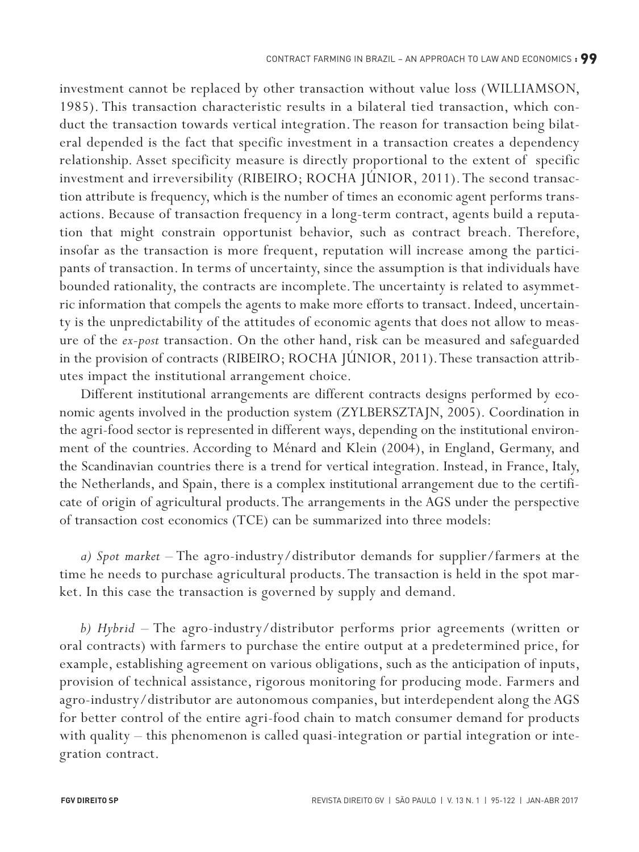investment cannot be replaced by other transaction without value loss (WILLIAMSON, 1985). This transaction characteristic results in a bilateral tied transaction, which conduct the transaction towards vertical integration.The reason for transaction being bilateral depended is the fact that specific investment in a transaction creates a dependency relationship. Asset specificity measure is directly proportional to the extent of specific investment and irreversibility (RIBEIRO; ROCHA JÚNIOR, 2011).The second transaction attribute is frequency, which is the number of times an economic agent performs transactions. Because of transaction frequency in a long-term contract, agents build a reputation that might constrain opportunist behavior, such as contract breach. Therefore, insofar as the transaction is more frequent, reputation will increase among the participants of transaction. In terms of uncertainty, since the assumption is that individuals have bounded rationality, the contracts are incomplete.The uncertainty is related to asymmetric information that compels the agents to make more efforts to transact. Indeed, uncertainty is the unpredictability of the attitudes of economic agents that does not allow to measure of the *ex-post* transaction. On the other hand, risk can be measured and safeguarded in the provision of contracts (RIBEIRO; ROCHA JÚNIOR, 2011).These transaction attributes impact the institutional arrangement choice.

Different institutional arrangements are different contracts designs performed by economic agents involved in the production system (ZYLBERSZTAJN, 2005). Coordination in the agri-food sector is represented in different ways, depending on the institutional environment of the countries. According to Ménard and Klein (2004), in England, Germany, and the Scandinavian countries there is a trend for vertical integration. Instead, in France, Italy, the Netherlands, and Spain, there is a complex institutional arrangement due to the certificate of origin of agricultural products.The arrangements in the AGS under the perspective of transaction cost economics (TCE) can be summarized into three models:

*a) Spot market –* The agro-industry/distributor demands for supplier/farmers at the time he needs to purchase agricultural products.The transaction is held in the spot market. In this case the transaction is governed by supply and demand.

*b) Hybrid –* The agro-industry/distributor performs prior agreements (written or oral contracts) with farmers to purchase the entire output at a predetermined price, for example, establishing agreement on various obligations, such as the anticipation of inputs, provision of technical assistance, rigorous monitoring for producing mode. Farmers and agro-industry/distributor are autonomous companies, but interdependent along the AGS for better control of the entire agri-food chain to match consumer demand for products with quality – this phenomenon is called quasi-integration or partial integration or integration contract.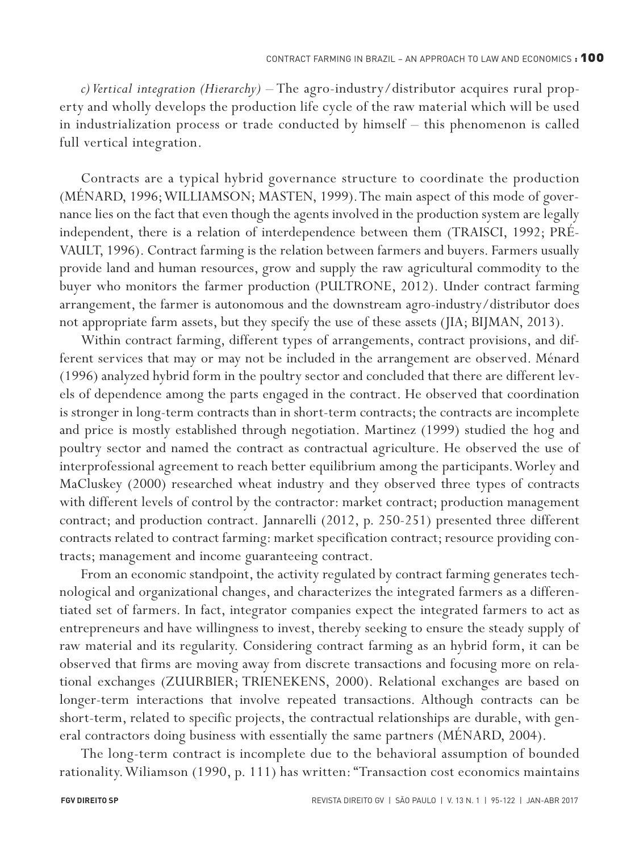*c) Vertical integration (Hierarchy)* – The agro-industry/distributor acquires rural property and wholly develops the production life cycle of the raw material which will be used in industrialization process or trade conducted by himself – this phenomenon is called full vertical integration.

Contracts are a typical hybrid governance structure to coordinate the production (MÉNARD, 1996;WILLIAMSON; MASTEN, 1999).The main aspect of this mode of governance lies on the fact that even though the agents involved in the production system are legally independent, there is a relation of interdependence between them (TRAISCI, 1992; PRÉ-VAULT, 1996). Contract farming is the relation between farmers and buyers. Farmers usually provide land and human resources, grow and supply the raw agricultural commodity to the buyer who monitors the farmer production (PULTRONE, 2012). Under contract farming arrangement, the farmer is autonomous and the downstream agro-industry/distributor does not appropriate farm assets, but they specify the use of these assets (JIA; BIJMAN, 2013).

Within contract farming, different types of arrangements, contract provisions, and different services that may or may not be included in the arrangement are observed. Ménard (1996) analyzed hybrid form in the poultry sector and concluded that there are different levels of dependence among the parts engaged in the contract. He observed that coordination is stronger in long-term contracts than in short-term contracts; the contracts are incomplete and price is mostly established through negotiation. Martinez (1999) studied the hog and poultry sector and named the contract as contractual agriculture. He observed the use of interprofessional agreement to reach better equilibrium among the participants.Worley and MaCluskey (2000) researched wheat industry and they observed three types of contracts with different levels of control by the contractor: market contract; production management contract; and production contract. Jannarelli (2012, p. 250-251) presented three different contracts related to contract farming: market specification contract; resource providing contracts; management and income guaranteeing contract.

From an economic standpoint, the activity regulated by contract farming generates technological and organizational changes, and characterizes the integrated farmers as a differentiated set of farmers. In fact, integrator companies expect the integrated farmers to act as entrepreneurs and have willingness to invest, thereby seeking to ensure the steady supply of raw material and its regularity. Considering contract farming as an hybrid form, it can be observed that firms are moving away from discrete transactions and focusing more on relational exchanges (ZUURBIER; TRIENEKENS, 2000). Relational exchanges are based on longer-term interactions that involve repeated transactions. Although contracts can be short-term, related to specific projects, the contractual relationships are durable, with general contractors doing business with essentially the same partners (MÉNARD, 2004).

The long-term contract is incomplete due to the behavioral assumption of bounded rationality.Wiliamson (1990, p. 111) has written: "Transaction cost economics maintains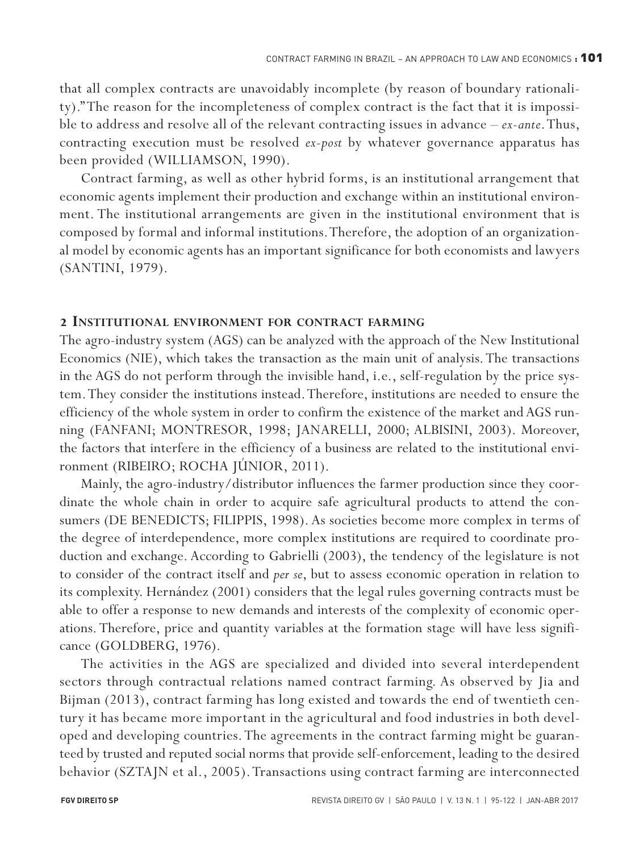that all complex contracts are unavoidably incomplete (by reason of boundary rationality)."The reason for the incompleteness of complex contract is the fact that it is impossible to address and resolve all of the relevant contracting issues in advance – *ex-ante*.Thus, contracting execution must be resolved *ex-post* by whatever governance apparatus has been provided (WILLIAMSON, 1990).

Contract farming, as well as other hybrid forms, is an institutional arrangement that economic agents implement their production and exchange within an institutional environment. The institutional arrangements are given in the institutional environment that is composed by formal and informal institutions.Therefore, the adoption of an organizational model by economic agents has an important significance for both economists and lawyers (SANTINI, 1979).

### **2 INSTITUTIONAL ENVIRONMENT FOR CONTRACT FARMING**

The agro-industry system (AGS) can be analyzed with the approach of the New Institutional Economics (NIE), which takes the transaction as the main unit of analysis.The transactions in the AGS do not perform through the invisible hand, i.e., self-regulation by the price system.They consider the institutions instead.Therefore, institutions are needed to ensure the efficiency of the whole system in order to confirm the existence of the market and AGS running (FANFANI; MONTRESOR, 1998; JANARELLI, 2000; ALBISINI, 2003). Moreover, the factors that interfere in the efficiency of a business are related to the institutional environment (RIBEIRO; ROCHA JÚNIOR, 2011).

Mainly, the agro-industry/distributor influences the farmer production since they coordinate the whole chain in order to acquire safe agricultural products to attend the consumers (DE BENEDICTS; FILIPPIS, 1998). As societies become more complex in terms of the degree of interdependence, more complex institutions are required to coordinate production and exchange. According to Gabrielli (2003), the tendency of the legislature is not to consider of the contract itself and *per se*, but to assess economic operation in relation to its complexity. Hernández (2001) considers that the legal rules governing contracts must be able to offer a response to new demands and interests of the complexity of economic operations. Therefore, price and quantity variables at the formation stage will have less significance (GOLDBERG, 1976).

The activities in the AGS are specialized and divided into several interdependent sectors through contractual relations named contract farming. As observed by Jia and Bijman (2013), contract farming has long existed and towards the end of twentieth century it has became more important in the agricultural and food industries in both developed and developing countries.The agreements in the contract farming might be guaranteed by trusted and reputed social norms that provide self-enforcement, leading to the desired behavior (SZTAJN et al., 2005). Transactions using contract farming are interconnected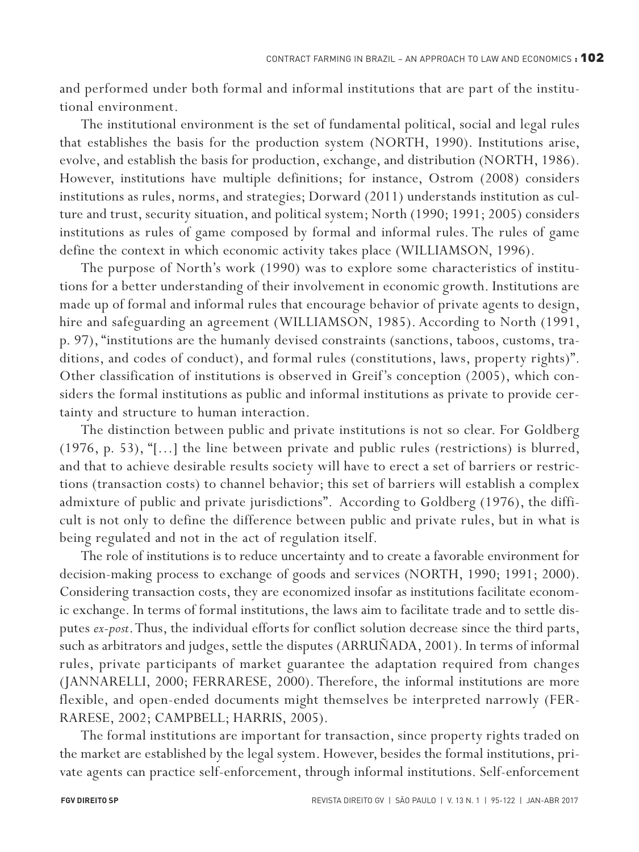and performed under both formal and informal institutions that are part of the institutional environment.

The institutional environment is the set of fundamental political, social and legal rules that establishes the basis for the production system (NORTH, 1990). Institutions arise, evolve, and establish the basis for production, exchange, and distribution (NORTH, 1986). However, institutions have multiple definitions; for instance, Ostrom (2008) considers institutions as rules, norms, and strategies; Dorward (2011) understands institution as culture and trust, security situation, and political system; North (1990; 1991; 2005) considers institutions as rules of game composed by formal and informal rules. The rules of game define the context in which economic activity takes place (WILLIAMSON, 1996).

The purpose of North's work (1990) was to explore some characteristics of institutions for a better understanding of their involvement in economic growth. Institutions are made up of formal and informal rules that encourage behavior of private agents to design, hire and safeguarding an agreement (WILLIAMSON, 1985). According to North (1991, p. 97), "institutions are the humanly devised constraints (sanctions, taboos, customs, traditions, and codes of conduct), and formal rules (constitutions, laws, property rights)". Other classification of institutions is observed in Greif's conception (2005), which considers the formal institutions as public and informal institutions as private to provide certainty and structure to human interaction.

The distinction between public and private institutions is not so clear. For Goldberg (1976, p. 53), "[…] the line between private and public rules (restrictions) is blurred, and that to achieve desirable results society will have to erect a set of barriers or restrictions (transaction costs) to channel behavior; this set of barriers will establish a complex admixture of public and private jurisdictions". According to Goldberg (1976), the difficult is not only to define the difference between public and private rules, but in what is being regulated and not in the act of regulation itself.

The role of institutions is to reduce uncertainty and to create a favorable environment for decision-making process to exchange of goods and services (NORTH, 1990; 1991; 2000). Considering transaction costs, they are economized insofar as institutions facilitate economic exchange. In terms of formal institutions, the laws aim to facilitate trade and to settle disputes *ex-post*.Thus, the individual efforts for conflict solution decrease since the third parts, such as arbitrators and judges, settle the disputes (ARRUÑADA, 2001). In terms of informal rules, private participants of market guarantee the adaptation required from changes (JANNARELLI, 2000; FERRARESE, 2000). Therefore, the informal institutions are more flexible, and open-ended documents might themselves be interpreted narrowly (FER-RARESE, 2002; CAMPBELL; HARRIS, 2005).

The formal institutions are important for transaction, since property rights traded on the market are established by the legal system. However, besides the formal institutions, private agents can practice self-enforcement, through informal institutions. Self-enforcement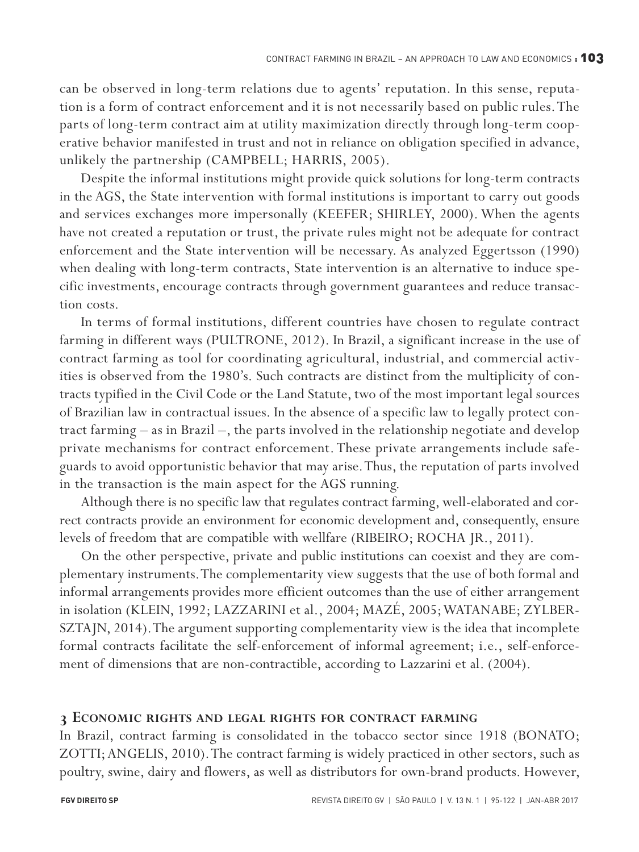can be observed in long-term relations due to agents' reputation. In this sense, reputation is a form of contract enforcement and it is not necessarily based on public rules.The parts of long-term contract aim at utility maximization directly through long-term cooperative behavior manifested in trust and not in reliance on obligation specified in advance, unlikely the partnership (CAMPBELL; HARRIS, 2005).

Despite the informal institutions might provide quick solutions for long-term contracts in the AGS, the State intervention with formal institutions is important to carry out goods and services exchanges more impersonally (KEEFER; SHIRLEY, 2000). When the agents have not created a reputation or trust, the private rules might not be adequate for contract enforcement and the State intervention will be necessary. As analyzed Eggertsson (1990) when dealing with long-term contracts, State intervention is an alternative to induce specific investments, encourage contracts through government guarantees and reduce transaction costs.

In terms of formal institutions, different countries have chosen to regulate contract farming in different ways (PULTRONE, 2012). In Brazil, a significant increase in the use of contract farming as tool for coordinating agricultural, industrial, and commercial activities is observed from the 1980's. Such contracts are distinct from the multiplicity of contracts typified in the Civil Code or the Land Statute, two of the most important legal sources of Brazilian law in contractual issues. In the absence of a specific law to legally protect contract farming – as in Brazil –, the parts involved in the relationship negotiate and develop private mechanisms for contract enforcement. These private arrangements include safeguards to avoid opportunistic behavior that may arise.Thus, the reputation of parts involved in the transaction is the main aspect for the AGS running.

Although there is no specific law that regulates contract farming, well-elaborated and correct contracts provide an environment for economic development and, consequently, ensure levels of freedom that are compatible with wellfare (RIBEIRO; ROCHA JR., 2011).

On the other perspective, private and public institutions can coexist and they are complementary instruments.The complementarity view suggests that the use of both formal and informal arrangements provides more efficient outcomes than the use of either arrangement in isolation (KLEIN, 1992; LAZZARINI et al., 2004; MAZÉ, 2005;WATANABE; ZYLBER-SZTAJN, 2014).The argument supporting complementarity view is the idea that incomplete formal contracts facilitate the self-enforcement of informal agreement; i.e., self-enforcement of dimensions that are non-contractible, according to Lazzarini et al. (2004).

### **3 ECONOMIC RIGHTS AND LEGAL RIGHTS FOR CONTRACT FARMING**

In Brazil, contract farming is consolidated in the tobacco sector since 1918 (BONATO; ZOTTI;ANGELIS, 2010).The contract farming is widely practiced in other sectors, such as poultry, swine, dairy and flowers, as well as distributors for own-brand products. However,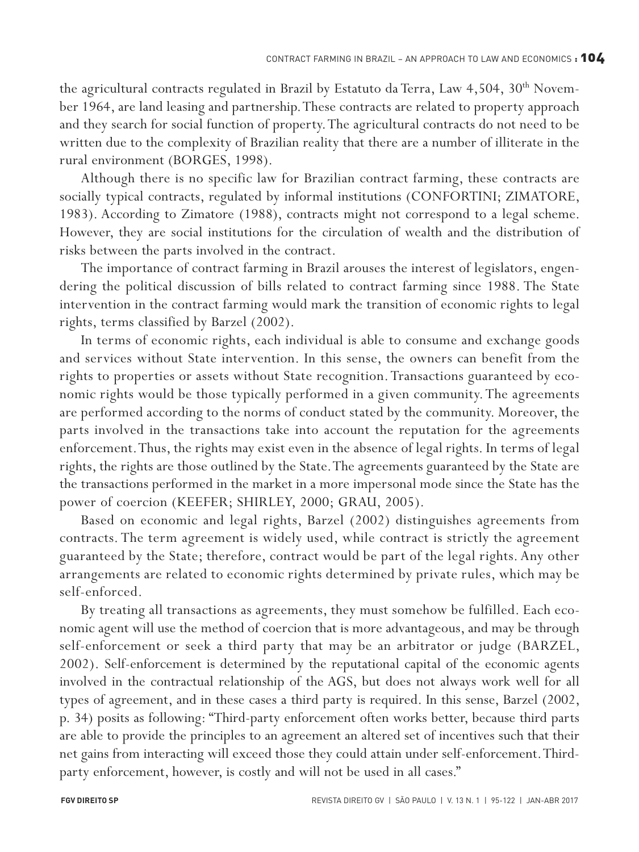the agricultural contracts regulated in Brazil by Estatuto da Terra, Law 4,504, 30<sup>th</sup> November 1964, are land leasing and partnership.These contracts are related to property approach and they search for social function of property.The agricultural contracts do not need to be written due to the complexity of Brazilian reality that there are a number of illiterate in the rural environment (BORGES, 1998).

Although there is no specific law for Brazilian contract farming, these contracts are socially typical contracts, regulated by informal institutions (CONFORTINI; ZIMATORE, 1983). According to Zimatore (1988), contracts might not correspond to a legal scheme. However, they are social institutions for the circulation of wealth and the distribution of risks between the parts involved in the contract.

The importance of contract farming in Brazil arouses the interest of legislators, engendering the political discussion of bills related to contract farming since 1988. The State intervention in the contract farming would mark the transition of economic rights to legal rights, terms classified by Barzel (2002).

In terms of economic rights, each individual is able to consume and exchange goods and services without State intervention. In this sense, the owners can benefit from the rights to properties or assets without State recognition.Transactions guaranteed by economic rights would be those typically performed in a given community.The agreements are performed according to the norms of conduct stated by the community. Moreover, the parts involved in the transactions take into account the reputation for the agreements enforcement.Thus, the rights may exist even in the absence of legal rights. In terms of legal rights, the rights are those outlined by the State.The agreements guaranteed by the State are the transactions performed in the market in a more impersonal mode since the State has the power of coercion (KEEFER; SHIRLEY, 2000; GRAU, 2005).

Based on economic and legal rights, Barzel (2002) distinguishes agreements from contracts. The term agreement is widely used, while contract is strictly the agreement guaranteed by the State; therefore, contract would be part of the legal rights. Any other arrangements are related to economic rights determined by private rules, which may be self-enforced.

By treating all transactions as agreements, they must somehow be fulfilled. Each economic agent will use the method of coercion that is more advantageous, and may be through self-enforcement or seek a third party that may be an arbitrator or judge (BARZEL, 2002). Self-enforcement is determined by the reputational capital of the economic agents involved in the contractual relationship of the AGS, but does not always work well for all types of agreement, and in these cases a third party is required. In this sense, Barzel (2002, p. 34) posits as following: "Third-party enforcement often works better, because third parts are able to provide the principles to an agreement an altered set of incentives such that their net gains from interacting will exceed those they could attain under self-enforcement.Thirdparty enforcement, however, is costly and will not be used in all cases."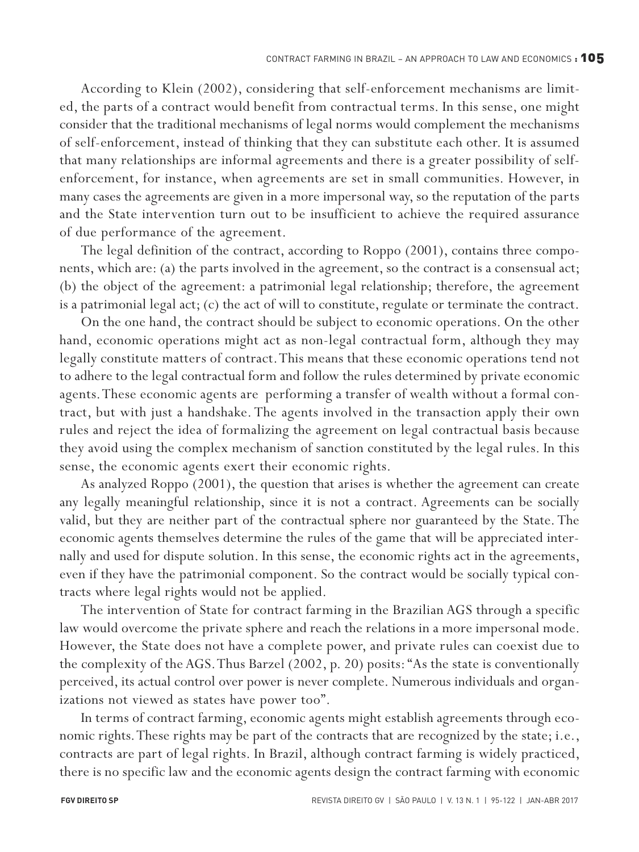According to Klein (2002), considering that self-enforcement mechanisms are limited, the parts of a contract would benefit from contractual terms. In this sense, one might consider that the traditional mechanisms of legal norms would complement the mechanisms of self-enforcement, instead of thinking that they can substitute each other. It is assumed that many relationships are informal agreements and there is a greater possibility of selfenforcement, for instance, when agreements are set in small communities. However, in many cases the agreements are given in a more impersonal way, so the reputation of the parts and the State intervention turn out to be insufficient to achieve the required assurance of due performance of the agreement.

The legal definition of the contract, according to Roppo (2001), contains three components, which are: (a) the parts involved in the agreement, so the contract is a consensual act; (b) the object of the agreement: a patrimonial legal relationship; therefore, the agreement is a patrimonial legal act; (c) the act of will to constitute, regulate or terminate the contract.

On the one hand, the contract should be subject to economic operations. On the other hand, economic operations might act as non-legal contractual form, although they may legally constitute matters of contract.This means that these economic operations tend not to adhere to the legal contractual form and follow the rules determined by private economic agents.These economic agents are performing a transfer of wealth without a formal contract, but with just a handshake. The agents involved in the transaction apply their own rules and reject the idea of formalizing the agreement on legal contractual basis because they avoid using the complex mechanism of sanction constituted by the legal rules. In this sense, the economic agents exert their economic rights.

As analyzed Roppo (2001), the question that arises is whether the agreement can create any legally meaningful relationship, since it is not a contract. Agreements can be socially valid, but they are neither part of the contractual sphere nor guaranteed by the State. The economic agents themselves determine the rules of the game that will be appreciated internally and used for dispute solution. In this sense, the economic rights act in the agreements, even if they have the patrimonial component. So the contract would be socially typical contracts where legal rights would not be applied.

The intervention of State for contract farming in the Brazilian AGS through a specific law would overcome the private sphere and reach the relations in a more impersonal mode. However, the State does not have a complete power, and private rules can coexist due to the complexity of the AGS.Thus Barzel (2002, p. 20) posits:"As the state is conventionally perceived, its actual control over power is never complete. Numerous individuals and organizations not viewed as states have power too".

In terms of contract farming, economic agents might establish agreements through economic rights.These rights may be part of the contracts that are recognized by the state; i.e., contracts are part of legal rights. In Brazil, although contract farming is widely practiced, there is no specific law and the economic agents design the contract farming with economic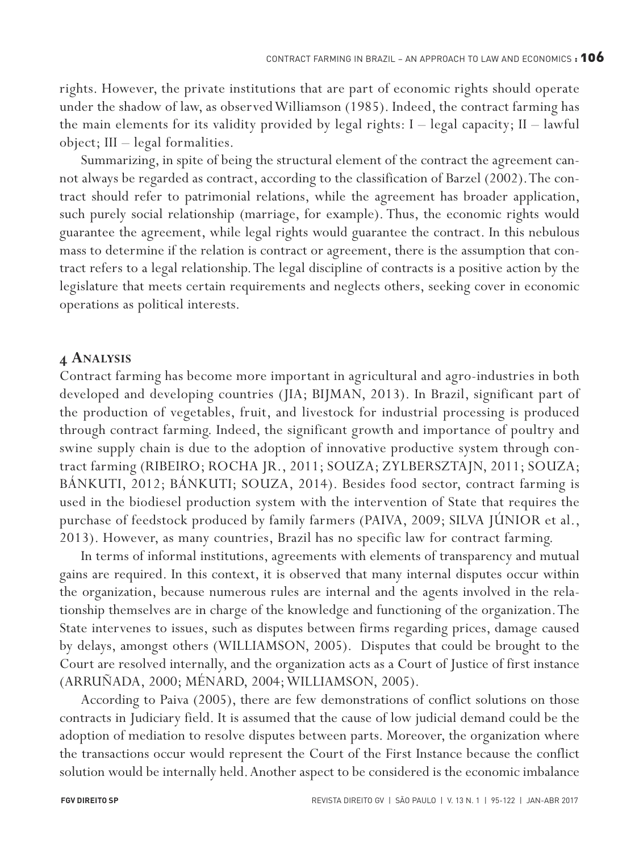rights. However, the private institutions that are part of economic rights should operate under the shadow of law, as observedWilliamson (1985). Indeed, the contract farming has the main elements for its validity provided by legal rights: I – legal capacity; II – lawful object; III – legal formalities.

Summarizing, in spite of being the structural element of the contract the agreement cannot always be regarded as contract, according to the classification of Barzel (2002).The contract should refer to patrimonial relations, while the agreement has broader application, such purely social relationship (marriage, for example). Thus, the economic rights would guarantee the agreement, while legal rights would guarantee the contract. In this nebulous mass to determine if the relation is contract or agreement, there is the assumption that contract refers to a legal relationship.The legal discipline of contracts is a positive action by the legislature that meets certain requirements and neglects others, seeking cover in economic operations as political interests.

### **4 ANALYSIS**

Contract farming has become more important in agricultural and agro-industries in both developed and developing countries (JIA; BIJMAN, 2013). In Brazil, significant part of the production of vegetables, fruit, and livestock for industrial processing is produced through contract farming. Indeed, the significant growth and importance of poultry and swine supply chain is due to the adoption of innovative productive system through contract farming (RIBEIRO; ROCHA JR., 2011; SOUZA; ZYLBERSZTAJN, 2011; SOUZA; BÁNKUTI, 2012; BÁNKUTI; SOUZA, 2014). Besides food sector, contract farming is used in the biodiesel production system with the intervention of State that requires the purchase of feedstock produced by family farmers (PAIVA, 2009; SILVA JÚNIOR et al., 2013). However, as many countries, Brazil has no specific law for contract farming.

In terms of informal institutions, agreements with elements of transparency and mutual gains are required. In this context, it is observed that many internal disputes occur within the organization, because numerous rules are internal and the agents involved in the relationship themselves are in charge of the knowledge and functioning of the organization.The State intervenes to issues, such as disputes between firms regarding prices, damage caused by delays, amongst others (WILLIAMSON, 2005). Disputes that could be brought to the Court are resolved internally, and the organization acts as a Court of Justice of first instance (ARRUÑADA, 2000; MÉNARD, 2004;WILLIAMSON, 2005).

According to Paiva (2005), there are few demonstrations of conflict solutions on those contracts in Judiciary field. It is assumed that the cause of low judicial demand could be the adoption of mediation to resolve disputes between parts. Moreover, the organization where the transactions occur would represent the Court of the First Instance because the conflict solution would be internally held.Another aspect to be considered is the economic imbalance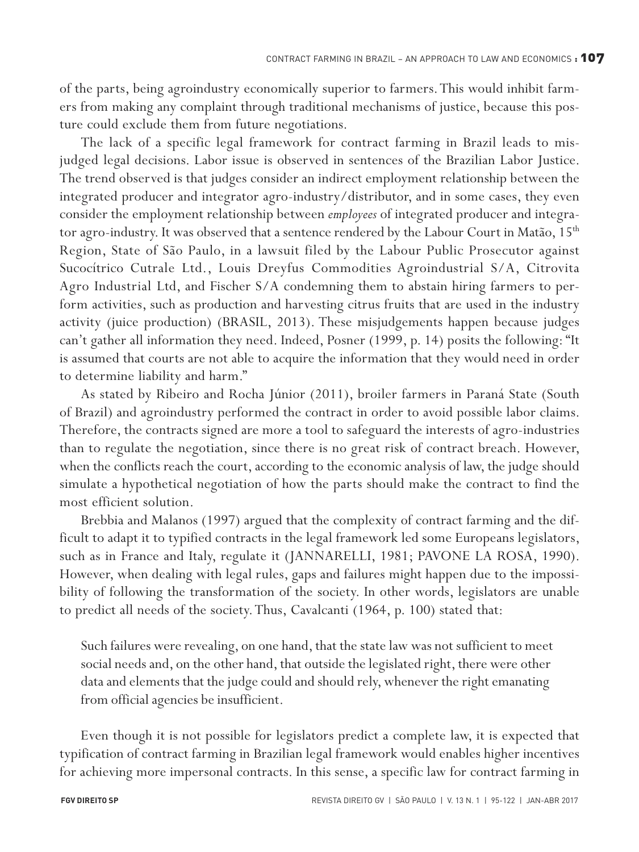of the parts, being agroindustry economically superior to farmers.This would inhibit farmers from making any complaint through traditional mechanisms of justice, because this posture could exclude them from future negotiations.

The lack of a specific legal framework for contract farming in Brazil leads to misjudged legal decisions. Labor issue is observed in sentences of the Brazilian Labor Justice. The trend observed is that judges consider an indirect employment relationship between the integrated producer and integrator agro-industry/distributor, and in some cases, they even consider the employment relationship between *employees* of integrated producer and integrator agro-industry. It was observed that a sentence rendered by the Labour Court in Matão, 15<sup>th</sup> Region, State of São Paulo, in a lawsuit filed by the Labour Public Prosecutor against Sucocítrico Cutrale Ltd., Louis Dreyfus Commodities Agroindustrial S/A, Citrovita Agro Industrial Ltd, and Fischer S/A condemning them to abstain hiring farmers to perform activities, such as production and harvesting citrus fruits that are used in the industry activity (juice production) (BRASIL, 2013). These misjudgements happen because judges can't gather all information they need. Indeed, Posner (1999, p. 14) posits the following: "It is assumed that courts are not able to acquire the information that they would need in order to determine liability and harm."

As stated by Ribeiro and Rocha Júnior (2011), broiler farmers in Paraná State (South of Brazil) and agroindustry performed the contract in order to avoid possible labor claims. Therefore, the contracts signed are more a tool to safeguard the interests of agro-industries than to regulate the negotiation, since there is no great risk of contract breach. However, when the conflicts reach the court, according to the economic analysis of law, the judge should simulate a hypothetical negotiation of how the parts should make the contract to find the most efficient solution.

Brebbia and Malanos (1997) argued that the complexity of contract farming and the difficult to adapt it to typified contracts in the legal framework led some Europeans legislators, such as in France and Italy, regulate it (JANNARELLI, 1981; PAVONE LA ROSA, 1990). However, when dealing with legal rules, gaps and failures might happen due to the impossibility of following the transformation of the society. In other words, legislators are unable to predict all needs of the society.Thus, Cavalcanti (1964, p. 100) stated that:

Such failures were revealing, on one hand, that the state law was not sufficient to meet social needs and, on the other hand, that outside the legislated right, there were other data and elements that the judge could and should rely, whenever the right emanating from official agencies be insufficient.

Even though it is not possible for legislators predict a complete law, it is expected that typification of contract farming in Brazilian legal framework would enables higher incentives for achieving more impersonal contracts. In this sense, a specific law for contract farming in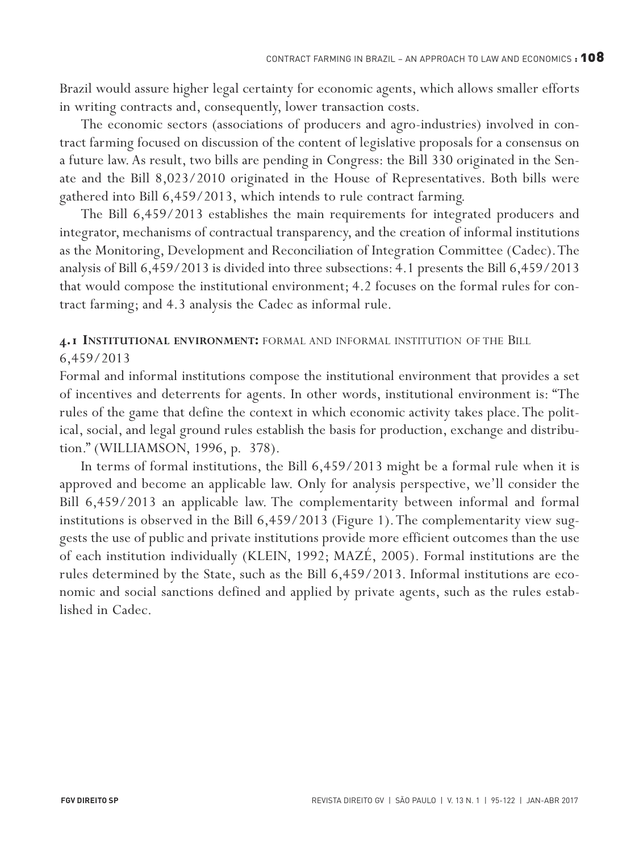Brazil would assure higher legal certainty for economic agents, which allows smaller efforts in writing contracts and, consequently, lower transaction costs.

The economic sectors (associations of producers and agro-industries) involved in contract farming focused on discussion of the content of legislative proposals for a consensus on a future law.As result, two bills are pending in Congress: the Bill 330 originated in the Senate and the Bill 8,023/2010 originated in the House of Representatives. Both bills were gathered into Bill 6,459/2013, which intends to rule contract farming.

The Bill 6,459/2013 establishes the main requirements for integrated producers and integrator, mechanisms of contractual transparency, and the creation of informal institutions as the Monitoring, Development and Reconciliation of Integration Committee (Cadec).The analysis of Bill 6,459/2013 is divided into three subsections: 4.1 presents the Bill 6,459/2013 that would compose the institutional environment; 4.2 focuses on the formal rules for contract farming; and 4.3 analysis the Cadec as informal rule.

**4.1 INSTITUTIONAL ENVIRONMENT:** FORMAL AND INFORMAL INSTITUTION OF THE BILL 6,459/2013

Formal and informal institutions compose the institutional environment that provides a set of incentives and deterrents for agents. In other words, institutional environment is: "The rules of the game that define the context in which economic activity takes place.The political, social, and legal ground rules establish the basis for production, exchange and distribution." (WILLIAMSON, 1996, p. 378).

In terms of formal institutions, the Bill 6,459/2013 might be a formal rule when it is approved and become an applicable law. Only for analysis perspective, we'll consider the Bill 6,459/2013 an applicable law. The complementarity between informal and formal institutions is observed in the Bill 6,459/2013 (Figure 1).The complementarity view suggests the use of public and private institutions provide more efficient outcomes than the use of each institution individually (KLEIN, 1992; MAZÉ, 2005). Formal institutions are the rules determined by the State, such as the Bill 6,459/2013. Informal institutions are economic and social sanctions defined and applied by private agents, such as the rules established in Cadec.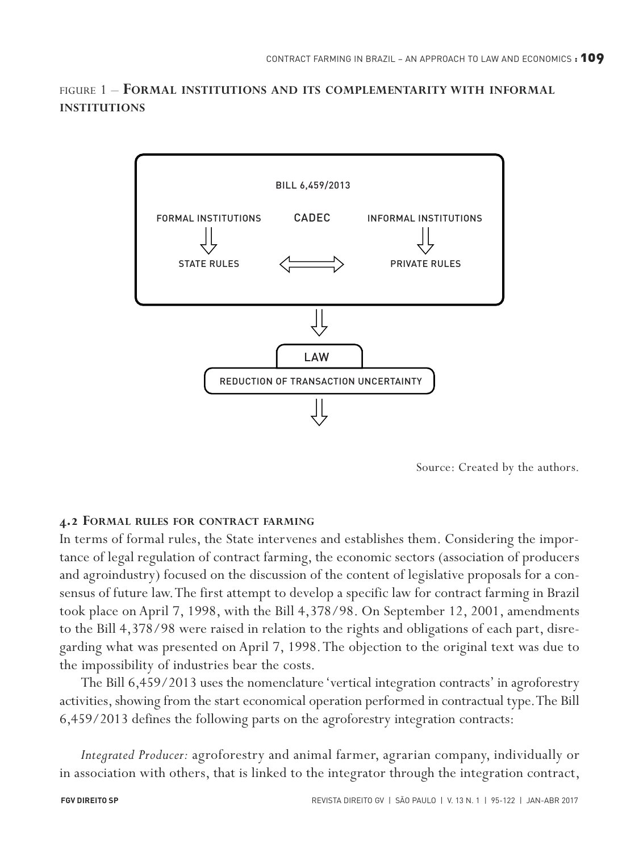FIGURE 1 – **FORMAL INSTITUTIONS AND ITS COMPLEMENTARITY WITH INFORMAL INSTITUTIONS**



Source: Created by the authors.

### **4.2 FORMAL RULES FOR CONTRACT FARMING**

In terms of formal rules, the State intervenes and establishes them. Considering the importance of legal regulation of contract farming, the economic sectors (association of producers and agroindustry) focused on the discussion of the content of legislative proposals for a consensus of future law.The first attempt to develop a specific law for contract farming in Brazil took place on April 7, 1998, with the Bill 4,378/98. On September 12, 2001, amendments to the Bill 4,378/98 were raised in relation to the rights and obligations of each part, disregarding what was presented on April 7, 1998.The objection to the original text was due to the impossibility of industries bear the costs.

The Bill 6,459/2013 uses the nomenclature 'vertical integration contracts' in agroforestry activities, showing from the start economical operation performed in contractual type.The Bill 6,459/2013 defines the following parts on the agroforestry integration contracts:

*Integrated Producer:* agroforestry and animal farmer, agrarian company, individually or in association with others, that is linked to the integrator through the integration contract,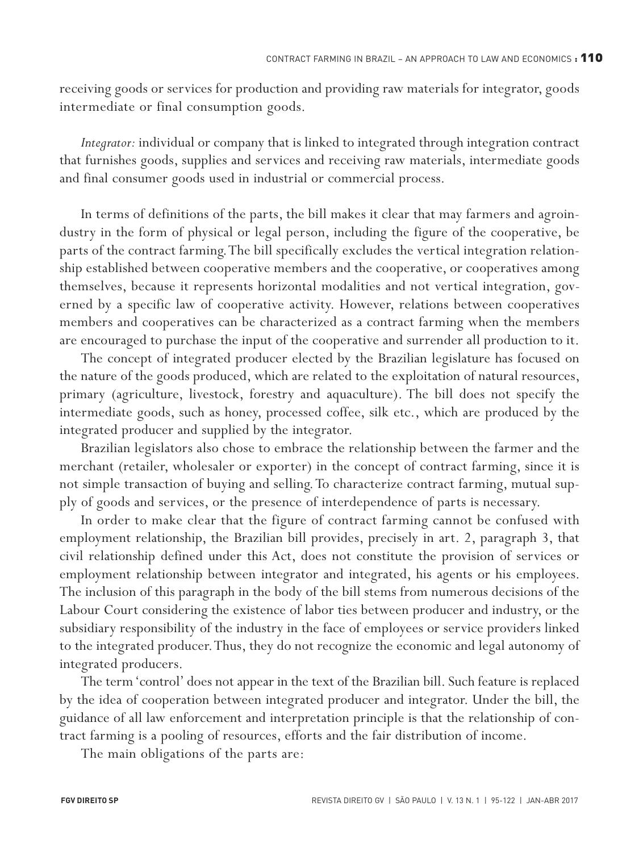receiving goods or services for production and providing raw materials for integrator, goods intermediate or final consumption goods.

*Integrator:* individual or company that is linked to integrated through integration contract that furnishes goods, supplies and services and receiving raw materials, intermediate goods and final consumer goods used in industrial or commercial process.

In terms of definitions of the parts, the bill makes it clear that may farmers and agroindustry in the form of physical or legal person, including the figure of the cooperative, be parts of the contract farming.The bill specifically excludes the vertical integration relationship established between cooperative members and the cooperative, or cooperatives among themselves, because it represents horizontal modalities and not vertical integration, governed by a specific law of cooperative activity. However, relations between cooperatives members and cooperatives can be characterized as a contract farming when the members are encouraged to purchase the input of the cooperative and surrender all production to it.

The concept of integrated producer elected by the Brazilian legislature has focused on the nature of the goods produced, which are related to the exploitation of natural resources, primary (agriculture, livestock, forestry and aquaculture). The bill does not specify the intermediate goods, such as honey, processed coffee, silk etc., which are produced by the integrated producer and supplied by the integrator.

Brazilian legislators also chose to embrace the relationship between the farmer and the merchant (retailer, wholesaler or exporter) in the concept of contract farming, since it is not simple transaction of buying and selling.To characterize contract farming, mutual supply of goods and services, or the presence of interdependence of parts is necessary.

In order to make clear that the figure of contract farming cannot be confused with employment relationship, the Brazilian bill provides, precisely in art. 2, paragraph 3, that civil relationship defined under this Act, does not constitute the provision of services or employment relationship between integrator and integrated, his agents or his employees. The inclusion of this paragraph in the body of the bill stems from numerous decisions of the Labour Court considering the existence of labor ties between producer and industry, or the subsidiary responsibility of the industry in the face of employees or service providers linked to the integrated producer.Thus, they do not recognize the economic and legal autonomy of integrated producers.

The term'control' does not appear in the text of the Brazilian bill. Such feature is replaced by the idea of cooperation between integrated producer and integrator. Under the bill, the guidance of all law enforcement and interpretation principle is that the relationship of contract farming is a pooling of resources, efforts and the fair distribution of income.

The main obligations of the parts are: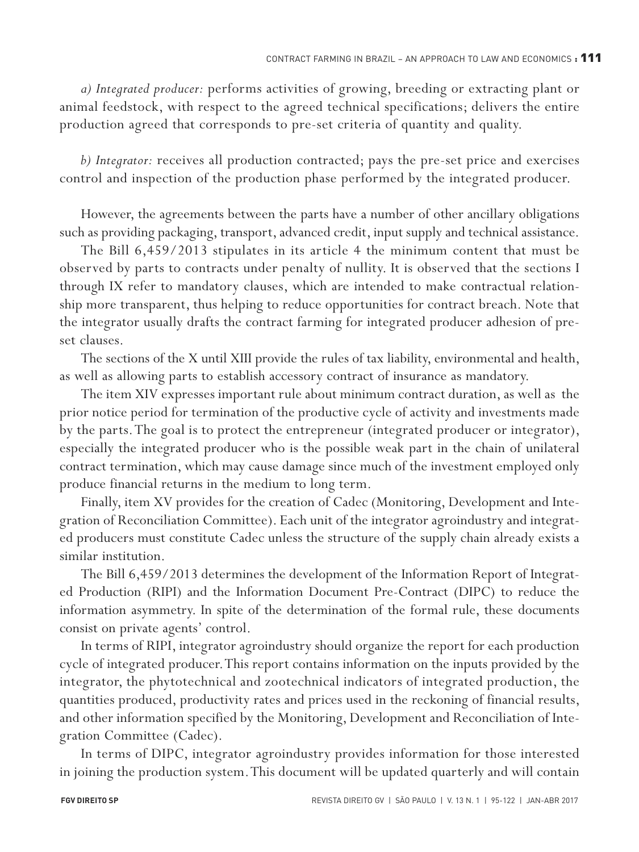*a) Integrated producer:* performs activities of growing, breeding or extracting plant or animal feedstock, with respect to the agreed technical specifications; delivers the entire production agreed that corresponds to pre-set criteria of quantity and quality.

*b) Integrator:* receives all production contracted; pays the pre-set price and exercises control and inspection of the production phase performed by the integrated producer.

However, the agreements between the parts have a number of other ancillary obligations such as providing packaging, transport, advanced credit, input supply and technical assistance.

The Bill 6,459/2013 stipulates in its article 4 the minimum content that must be observed by parts to contracts under penalty of nullity. It is observed that the sections I through IX refer to mandatory clauses, which are intended to make contractual relationship more transparent, thus helping to reduce opportunities for contract breach. Note that the integrator usually drafts the contract farming for integrated producer adhesion of preset clauses.

The sections of the X until XIII provide the rules of tax liability, environmental and health, as well as allowing parts to establish accessory contract of insurance as mandatory.

The item XIV expresses important rule about minimum contract duration, as well as the prior notice period for termination of the productive cycle of activity and investments made by the parts.The goal is to protect the entrepreneur (integrated producer or integrator), especially the integrated producer who is the possible weak part in the chain of unilateral contract termination, which may cause damage since much of the investment employed only produce financial returns in the medium to long term.

Finally, item XV provides for the creation of Cadec (Monitoring, Development and Integration of Reconciliation Committee). Each unit of the integrator agroindustry and integrated producers must constitute Cadec unless the structure of the supply chain already exists a similar institution.

The Bill 6,459/2013 determines the development of the Information Report of Integrated Production (RIPI) and the Information Document Pre-Contract (DIPC) to reduce the information asymmetry. In spite of the determination of the formal rule, these documents consist on private agents' control.

In terms of RIPI, integrator agroindustry should organize the report for each production cycle of integrated producer.This report contains information on the inputs provided by the integrator, the phytotechnical and zootechnical indicators of integrated production, the quantities produced, productivity rates and prices used in the reckoning of financial results, and other information specified by the Monitoring, Development and Reconciliation of Integration Committee (Cadec).

In terms of DIPC, integrator agroindustry provides information for those interested in joining the production system.This document will be updated quarterly and will contain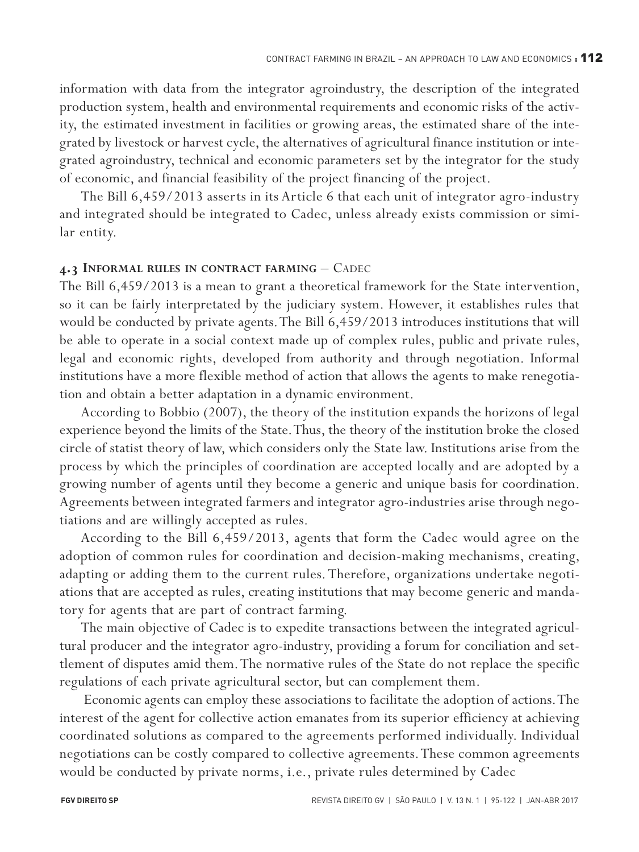information with data from the integrator agroindustry, the description of the integrated production system, health and environmental requirements and economic risks of the activity, the estimated investment in facilities or growing areas, the estimated share of the integrated by livestock or harvest cycle, the alternatives of agricultural finance institution or integrated agroindustry, technical and economic parameters set by the integrator for the study of economic, and financial feasibility of the project financing of the project.

The Bill 6,459/2013 asserts in its Article 6 that each unit of integrator agro-industry and integrated should be integrated to Cadec, unless already exists commission or similar entity.

### **4.3 INFORMAL RULES IN CONTRACT FARMING** – CADEC

The Bill 6,459/2013 is a mean to grant a theoretical framework for the State intervention, so it can be fairly interpretated by the judiciary system. However, it establishes rules that would be conducted by private agents.The Bill 6,459/2013 introduces institutions that will be able to operate in a social context made up of complex rules, public and private rules, legal and economic rights, developed from authority and through negotiation. Informal institutions have a more flexible method of action that allows the agents to make renegotiation and obtain a better adaptation in a dynamic environment.

According to Bobbio (2007), the theory of the institution expands the horizons of legal experience beyond the limits of the State.Thus, the theory of the institution broke the closed circle of statist theory of law, which considers only the State law. Institutions arise from the process by which the principles of coordination are accepted locally and are adopted by a growing number of agents until they become a generic and unique basis for coordination. Agreements between integrated farmers and integrator agro-industries arise through negotiations and are willingly accepted as rules.

According to the Bill 6,459/2013, agents that form the Cadec would agree on the adoption of common rules for coordination and decision-making mechanisms, creating, adapting or adding them to the current rules.Therefore, organizations undertake negotiations that are accepted as rules, creating institutions that may become generic and mandatory for agents that are part of contract farming.

The main objective of Cadec is to expedite transactions between the integrated agricultural producer and the integrator agro-industry, providing a forum for conciliation and settlement of disputes amid them.The normative rules of the State do not replace the specific regulations of each private agricultural sector, but can complement them.

Economic agents can employ these associations to facilitate the adoption of actions.The interest of the agent for collective action emanates from its superior efficiency at achieving coordinated solutions as compared to the agreements performed individually. Individual negotiations can be costly compared to collective agreements.These common agreements would be conducted by private norms, i.e., private rules determined by Cadec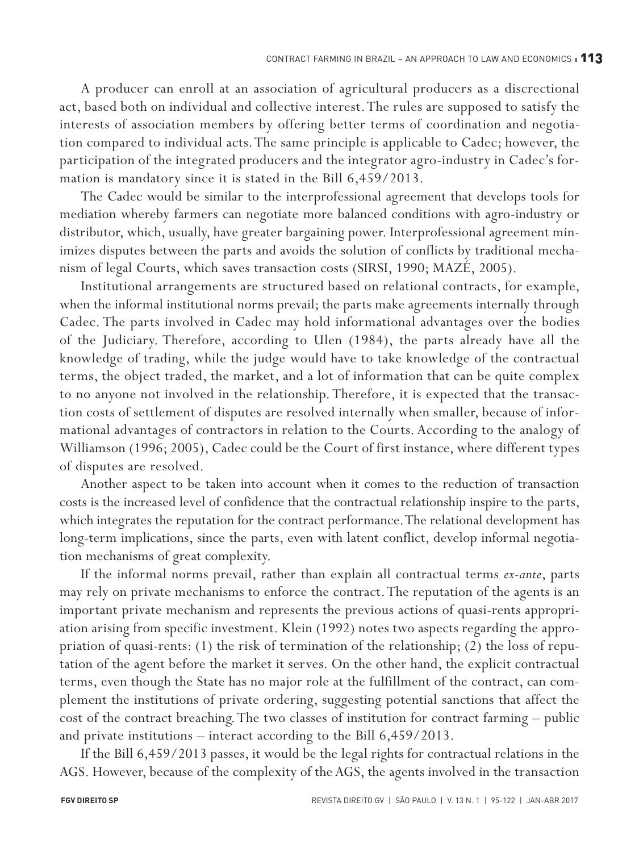A producer can enroll at an association of agricultural producers as a discrectional act, based both on individual and collective interest.The rules are supposed to satisfy the interests of association members by offering better terms of coordination and negotiation compared to individual acts.The same principle is applicable to Cadec; however, the participation of the integrated producers and the integrator agro-industry in Cadec's formation is mandatory since it is stated in the Bill 6,459/2013.

The Cadec would be similar to the interprofessional agreement that develops tools for mediation whereby farmers can negotiate more balanced conditions with agro-industry or distributor, which, usually, have greater bargaining power. Interprofessional agreement minimizes disputes between the parts and avoids the solution of conflicts by traditional mechanism of legal Courts, which saves transaction costs (SIRSI, 1990; MAZÉ, 2005).

Institutional arrangements are structured based on relational contracts, for example, when the informal institutional norms prevail; the parts make agreements internally through Cadec. The parts involved in Cadec may hold informational advantages over the bodies of the Judiciary. Therefore, according to Ulen (1984), the parts already have all the knowledge of trading, while the judge would have to take knowledge of the contractual terms, the object traded, the market, and a lot of information that can be quite complex to no anyone not involved in the relationship. Therefore, it is expected that the transaction costs of settlement of disputes are resolved internally when smaller, because of informational advantages of contractors in relation to the Courts.According to the analogy of Williamson (1996; 2005), Cadec could be the Court of first instance, where different types of disputes are resolved.

Another aspect to be taken into account when it comes to the reduction of transaction costs is the increased level of confidence that the contractual relationship inspire to the parts, which integrates the reputation for the contract performance.The relational development has long-term implications, since the parts, even with latent conflict, develop informal negotiation mechanisms of great complexity.

If the informal norms prevail, rather than explain all contractual terms *ex-ante*, parts may rely on private mechanisms to enforce the contract.The reputation of the agents is an important private mechanism and represents the previous actions of quasi-rents appropriation arising from specific investment. Klein (1992) notes two aspects regarding the appropriation of quasi-rents: (1) the risk of termination of the relationship; (2) the loss of reputation of the agent before the market it serves. On the other hand, the explicit contractual terms, even though the State has no major role at the fulfillment of the contract, can complement the institutions of private ordering, suggesting potential sanctions that affect the cost of the contract breaching.The two classes of institution for contract farming – public and private institutions – interact according to the Bill 6,459/2013.

If the Bill 6,459/2013 passes, it would be the legal rights for contractual relations in the AGS. However, because of the complexity of the AGS, the agents involved in the transaction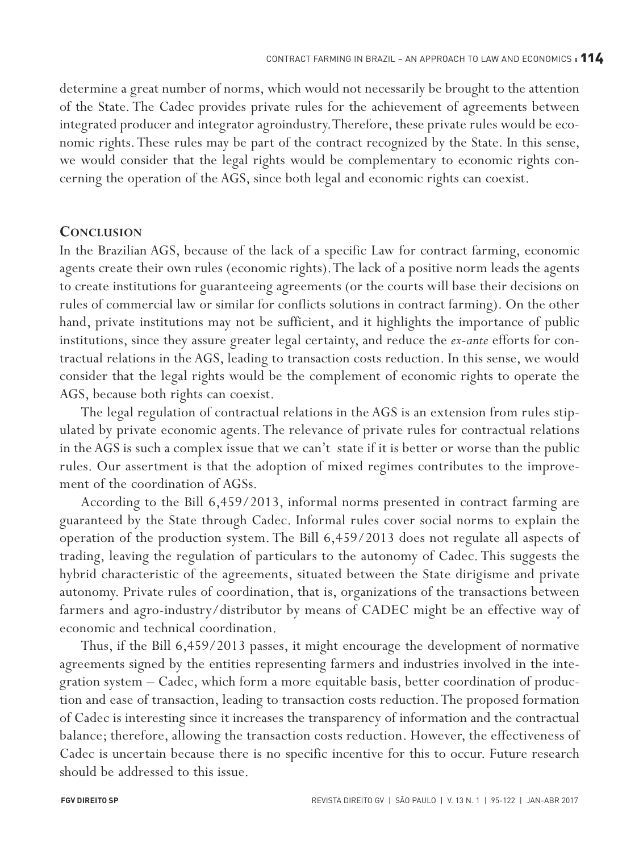determine a great number of norms, which would not necessarily be brought to the attention of the State. The Cadec provides private rules for the achievement of agreements between integrated producer and integrator agroindustry.Therefore, these private rules would be economic rights.These rules may be part of the contract recognized by the State. In this sense, we would consider that the legal rights would be complementary to economic rights concerning the operation of the AGS, since both legal and economic rights can coexist.

## **CONCLUSION**

In the Brazilian AGS, because of the lack of a specific Law for contract farming, economic agents create their own rules (economic rights).The lack of a positive norm leads the agents to create institutions for guaranteeing agreements (or the courts will base their decisions on rules of commercial law or similar for conflicts solutions in contract farming). On the other hand, private institutions may not be sufficient, and it highlights the importance of public institutions, since they assure greater legal certainty, and reduce the *ex-ante* efforts for contractual relations in the AGS, leading to transaction costs reduction. In this sense, we would consider that the legal rights would be the complement of economic rights to operate the AGS, because both rights can coexist.

The legal regulation of contractual relations in the AGS is an extension from rules stipulated by private economic agents.The relevance of private rules for contractual relations in the AGS is such a complex issue that we can't state if it is better or worse than the public rules. Our assertment is that the adoption of mixed regimes contributes to the improvement of the coordination of AGSs.

According to the Bill 6,459/2013, informal norms presented in contract farming are guaranteed by the State through Cadec. Informal rules cover social norms to explain the operation of the production system. The Bill 6,459/2013 does not regulate all aspects of trading, leaving the regulation of particulars to the autonomy of Cadec. This suggests the hybrid characteristic of the agreements, situated between the State dirigisme and private autonomy. Private rules of coordination, that is, organizations of the transactions between farmers and agro-industry/distributor by means of CADEC might be an effective way of economic and technical coordination.

Thus, if the Bill 6,459/2013 passes, it might encourage the development of normative agreements signed by the entities representing farmers and industries involved in the integration system – Cadec, which form a more equitable basis, better coordination of production and ease of transaction, leading to transaction costs reduction.The proposed formation of Cadec is interesting since it increases the transparency of information and the contractual balance; therefore, allowing the transaction costs reduction. However, the effectiveness of Cadec is uncertain because there is no specific incentive for this to occur. Future research should be addressed to this issue.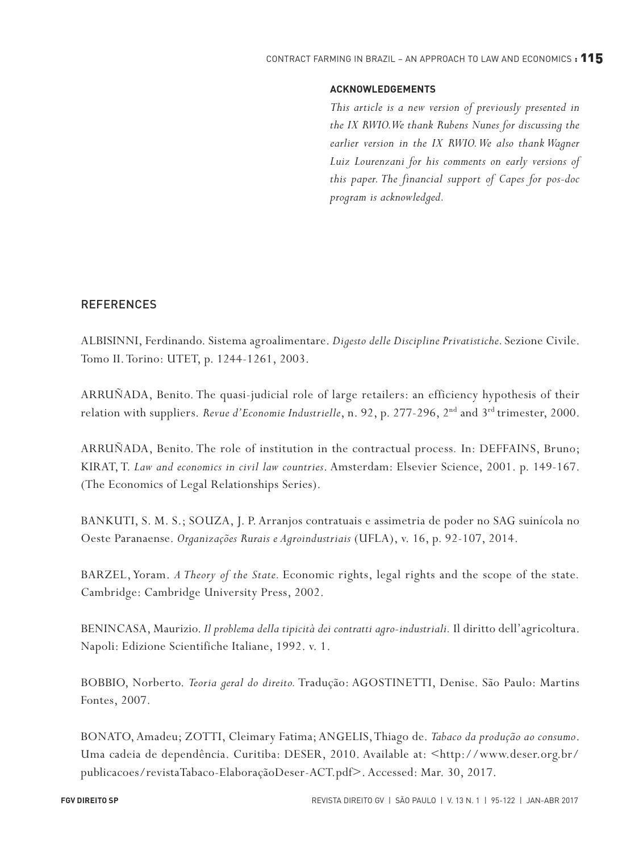### **ACKNOWLEDGEMENTS**

*This article is a new version of previously presented in the IX RWIO.We thank Rubens Nunes for discussing the earlier version in the IX RWIO.We also thank Wagner Luiz Lourenzani for his comments on early versions of this paper. The financial support of Capes for pos-doc program is acknowledged.*

### **REFERENCES**

ALBISINNI, Ferdinando. Sistema agroalimentare. *Digesto delle Discipline Privatistiche.* Sezione Civile. Tomo II.Torino: UTET, p. 1244-1261, 2003.

ARRUÑADA, Benito. The quasi-judicial role of large retailers: an efficiency hypothesis of their relation with suppliers. *Revue d'Economie Industrielle*, n. 92, p. 277-296, 2nd and 3rd trimester, 2000.

ARRUÑADA, Benito. The role of institution in the contractual process*.* In: DEFFAINS, Bruno; KIRAT, T. *Law and economics in civil law countries*. Amsterdam: Elsevier Science, 2001. p. 149-167. (The Economics of Legal Relationships Series).

BANKUTI, S. M. S.; SOUZA, J. P. Arranjos contratuais e assimetria de poder no SAG suinícola no Oeste Paranaense. *Organizações Rurais e Agroindustriais* (UFLA), v. 16, p. 92-107, 2014.

BARZEL,Yoram. *A Theory of the State.* Economic rights, legal rights and the scope of the state*.* Cambridge: Cambridge University Press, 2002.

BENINCASA, Maurizio. *Il problema della tipicità dei contratti agro-industriali.* Il diritto dell'agricoltura. Napoli: Edizione Scientifiche Italiane, 1992. v. 1.

BOBBIO, Norberto. *Teoria geral do direito.* Tradução: AGOSTINETTI, Denise. São Paulo: Martins Fontes, 2007.

BONATO,Amadeu; ZOTTI, Cleimary Fatima;ANGELIS,Thiago de. *Tabaco da produção ao consumo*. Uma cadeia de dependência. Curitiba: DESER, 2010. Available at: [<http://www.deser.org.br/](http://www.deser.org.br/publicacoes/revistaTabaco-Elabora��oDeser-ACT.pdf) [publicacoes/revistaTabaco-ElaboraçãoDeser-ACT.pdf>](http://www.deser.org.br/publicacoes/revistaTabaco-Elabora��oDeser-ACT.pdf). Accessed: Mar. 30, 2017.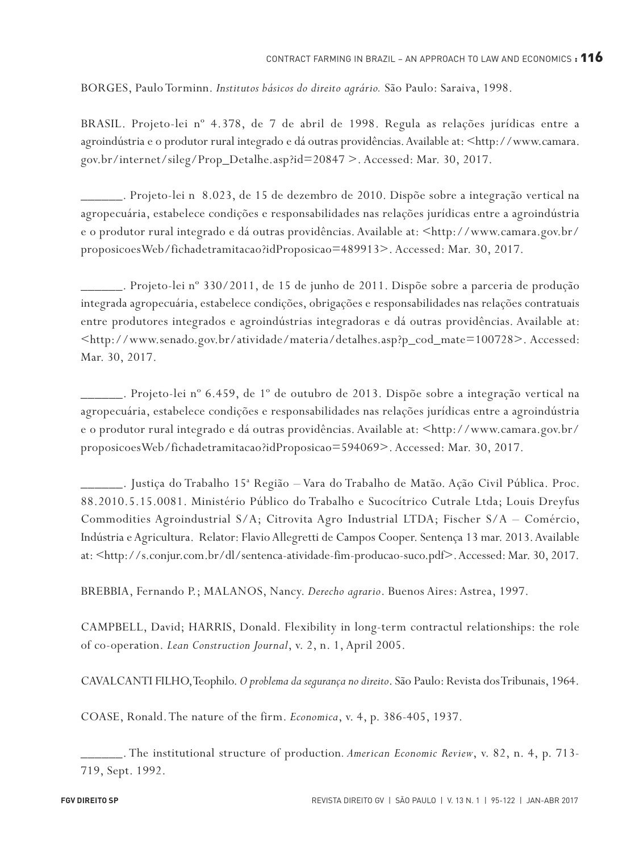BORGES, Paulo Torminn. *Institutos básicos do direito agrário.* São Paulo: Saraiva, 1998.

BRASIL. Projeto-lei nº 4.378, de 7 de abril de 1998. Regula as relações jurídicas entre a agroindústria e o produtor rural integrado e dá outras providências.Available at:[<http://www.camara.](http://www.camara.gov.br/internet/sileg/Prop_Detalhe.asp?id=20847) [gov.br/internet/sileg/Prop\\_Detalhe.asp?id=20847](http://www.camara.gov.br/internet/sileg/Prop_Detalhe.asp?id=20847) >. Accessed: Mar. 30, 2017.

\_\_\_\_\_\_. Projeto-lei n 8.023, de 15 de dezembro de 2010. Dispõe sobre a integração vertical na agropecuária, estabelece condições e responsabilidades nas relações jurídicas entre a agroindústria e o produtor rural integrado e dá outras providências. Available at: [<http://www.camara.gov.br/](http://www.camara.gov.br/proposicoesWeb/fichadetramitacao?idProposicao=489913) [proposicoesWeb/fichadetramitacao?idProposicao=489913>](http://www.camara.gov.br/proposicoesWeb/fichadetramitacao?idProposicao=489913). Accessed: Mar. 30, 2017.

\_\_\_\_\_\_. Projeto-lei nº 330/2011, de 15 de junho de 2011. Dispõe sobre a parceria de produção integrada agropecuária, estabelece condições, obrigações e responsabilidades nas relações contratuais entre produtores integrados e agroindústrias integradoras e dá outras providências. Available at: [<http://www.senado.gov.br/atividade/materia/detalhes.asp?p\\_cod\\_mate=100728>](http://www.senado.gov.br/atividade/materia/detalhes.asp?p_cod_mate=100728). Accessed: Mar. 30, 2017.

\_\_\_\_\_\_. Projeto-lei nº 6.459, de 1º de outubro de 2013. Dispõe sobre a integração vertical na agropecuária, estabelece condições e responsabilidades nas relações jurídicas entre a agroindústria e o produtor rural integrado e dá outras providências. Available at: [<http://www.camara.gov.br/](http://www.camara.gov.br/proposicoesWeb/fichadetramitacao?idProposicao=594069) [proposicoesWeb/fichadetramitacao?idProposicao=594069>](http://www.camara.gov.br/proposicoesWeb/fichadetramitacao?idProposicao=594069). Accessed: Mar. 30, 2017.

\_\_\_\_\_\_. Justiça do Trabalho 15a Região – Vara do Trabalho de Matão. Ação Civil Pública. Proc. 88.2010.5.15.0081. Ministério Público do Trabalho e Sucocítrico Cutrale Ltda; Louis Dreyfus Commodities Agroindustrial S/A; Citrovita Agro Industrial LTDA; Fischer S/A – Comércio, Indústria eAgricultura. Relator: FlavioAllegretti de Campos Cooper. Sentença 13 mar. 2013.Available at:[<http://s.conjur.com.br/dl/sentenca-atividade-fim-producao-suco.pdf>](http://s.conjur.com.br/dl/sentenca-atividade-fim-producao-suco.pdf).Accessed: Mar. 30, 2017.

BREBBIA, Fernando P.; MALANOS, Nancy. *Derecho agrario*. Buenos Aires: Astrea, 1997.

CAMPBELL, David; HARRIS, Donald. Flexibility in long-term contractul relationships: the role of co-operation. *Lean Construction Journal*, v. 2, n. 1, April 2005.

CAVALCANTI FILHO,Teophilo. *O problemadasegurança nodireito*. São Paulo: Revista dosTribunais, 1964.

COASE, Ronald.The nature of the firm. *Economica*, v. 4, p. 386-405, 1937.

\_\_\_\_\_\_. The institutional structure of production*. American Economic Review*, v. 82, n. 4, p. 713- 719, Sept. 1992.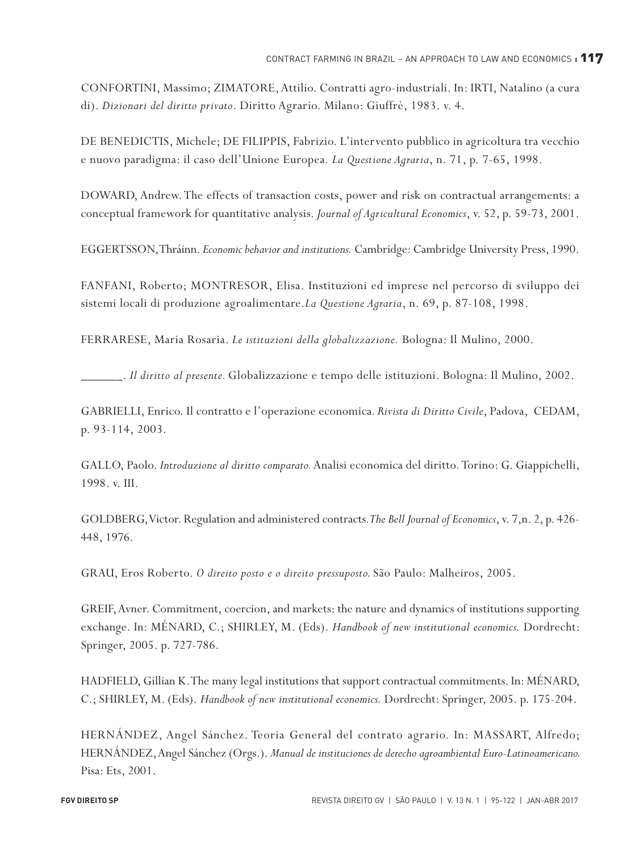CONFORTINI, Massimo; ZIMATORE,Attilio. Contratti agro-industriali. In: IRTI, Natalino (a cura di). *Dizionari del diritto privato*. Diritto Agrario. Milano: Giuffrè, 1983. v. 4.

DE BENEDICTIS, Michele; DE FILIPPIS, Fabrizio. L'intervento pubblico in agricoltura tra vecchio e nuovo paradigma: il caso dell'Unione Europea*. La Questione Agraria*, n. 71, p. 7-65, 1998.

DOWARD, Andrew.The effects of transaction costs, power and risk on contractual arrangements: a conceptual framework for quantitative analysis. *Journal of Agricultural Economics*, v. 52, p. 59-73, 2001.

EGGERTSSON,Thráinn. *Economic behaviorandinstitutions.* Cambridge:Cambridge University Press, 1990.

FANFANI, Roberto; MONTRESOR, Elisa. Instituzioni ed imprese nel percorso di sviluppo dei sistemi locali di produzione agroalimentare.*La Questione Agraria*, n. 69, p. 87-108, 1998.

FERRARESE, Maria Rosaria. *Le istituzioni della globalizzazione.* Bologna: Il Mulino, 2000.

\_\_\_\_\_\_. *Il diritto al presente.* Globalizzazione e tempo delle istituzioni. Bologna: Il Mulino, 2002.

GABRIELLI, Enrico. Il contratto e l'operazione economica*. Rivista di Diritto Civile*, Padova, CEDAM, p. 93-114, 2003.

GALLO, Paolo. *Introduzione al diritto comparato.*Analisi economica del diritto*.*Torino: G. Giappichelli, 1998. v. III.

GOLDBERG,Victor. Regulation and administered contracts*.The Bell Journal of Economics*, v. 7,n. 2, p. 426- 448, 1976.

GRAU, Eros Roberto. *O direito posto e o direito pressuposto.* São Paulo: Malheiros, 2005.

GREIF, Avner. Commitment, coercion, and markets: the nature and dynamics of institutions supporting exchange. In: MÉNARD, C.; SHIRLEY, M. (Eds). *Handbook of new institutional economics.* Dordrecht: Springer, 2005. p. 727-786.

HADFIELD, Gillian K. The many legal institutions that support contractual commitments. In: MÉNARD, C.; SHIRLEY, M. (Eds). *Handbook of new institutional economics.* Dordrecht: Springer, 2005. p. 175-204.

HERNÁNDEZ, Angel Sánchez. Teoria General del contrato agrario. In: MASSART, Alfredo; HERNÁNDEZ,Angel Sánchez (Orgs.).*Manualde institucionesdederechoagroambiental Euro-Latinoamericano.* Pisa: Ets, 2001.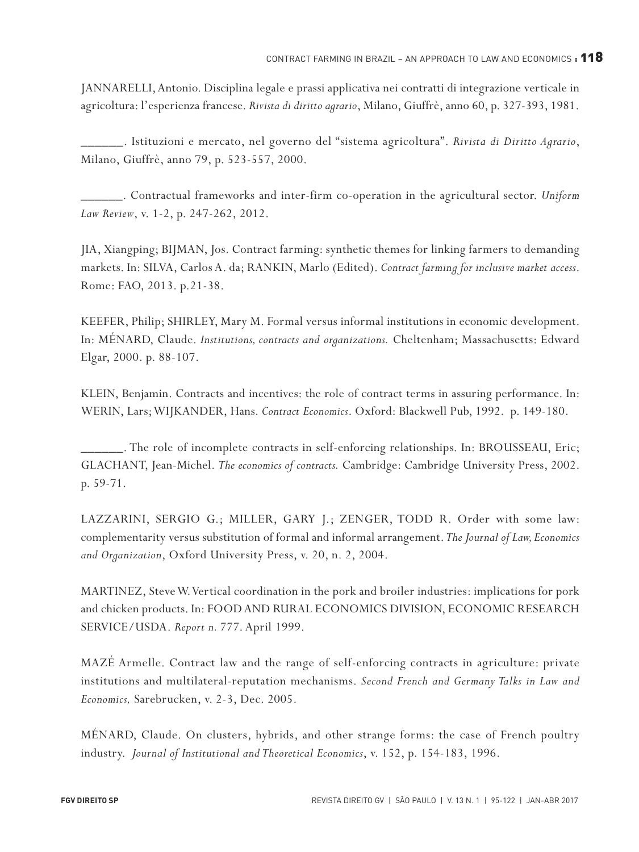JANNARELLI,Antonio. Disciplina legale e prassi applicativa nei contratti di integrazione verticale in agricoltura: l'esperienza francese. *Rivista di diritto agrario*, Milano, Giuffrè,anno 60, p. 327-393, 1981.

\_\_\_\_\_\_. Istituzioni e mercato, nel governo del "sistema agricoltura". *Rivista di Diritto Agrario*, Milano, Giuffrè, anno 79, p. 523-557, 2000.

\_\_\_\_\_\_. Contractual frameworks and inter-firm co-operation in the agricultural sector. *Uniform Law Review*, v. 1-2, p. 247-262, 2012.

JIA, Xiangping; BIJMAN, Jos. Contract farming: synthetic themes for linking farmers to demanding markets. In: SILVA, Carlos A. da; RANKIN, Marlo (Edited). *Contract farming for inclusive market access*. Rome: FAO, 2013. p.21-38.

KEEFER, Philip; SHIRLEY, Mary M. Formal versus informal institutions in economic development. In: MÉNARD, Claude. *Institutions, contracts and organizations.* Cheltenham; Massachusetts: Edward Elgar, 2000. p. 88-107.

KLEIN, Benjamin. Contracts and incentives: the role of contract terms in assuring performance. In: WERIN, Lars;WIJKANDER, Hans. *Contract Economics*. Oxford: Blackwell Pub, 1992. p. 149-180.

\_\_\_\_\_\_. The role of incomplete contracts in self-enforcing relationships. In: BROUSSEAU, Eric; GLACHANT, Jean-Michel. *The economics of contracts.* Cambridge: Cambridge University Press, 2002. p. 59-71.

LAZZARINI, SERGIO G.; MILLER, GARY J.; ZENGER, TODD R. Order with some law: complementarity versus substitution of formal and informal arrangement.*The Journal of Law, Economics and Organization*, Oxford University Press, v. 20, n. 2, 2004.

MARTINEZ, SteveW.Vertical coordination in the pork and broiler industries: implications for pork and chicken products. In: FOODAND RURAL ECONOMICS DIVISION, ECONOMIC RESEARCH SERVICE/USDA. *Report n. 777*. April 1999.

MAZÉ Armelle. Contract law and the range of self-enforcing contracts in agriculture: private institutions and multilateral-reputation mechanisms. *Second French and Germany Talks in Law and Economics,* Sarebrucken, v. 2-3, Dec. 2005.

MÉNARD, Claude. On clusters, hybrids, and other strange forms: the case of French poultry industry. *Journal of Institutional and Theoretical Economics*, v. 152, p. 154-183, 1996.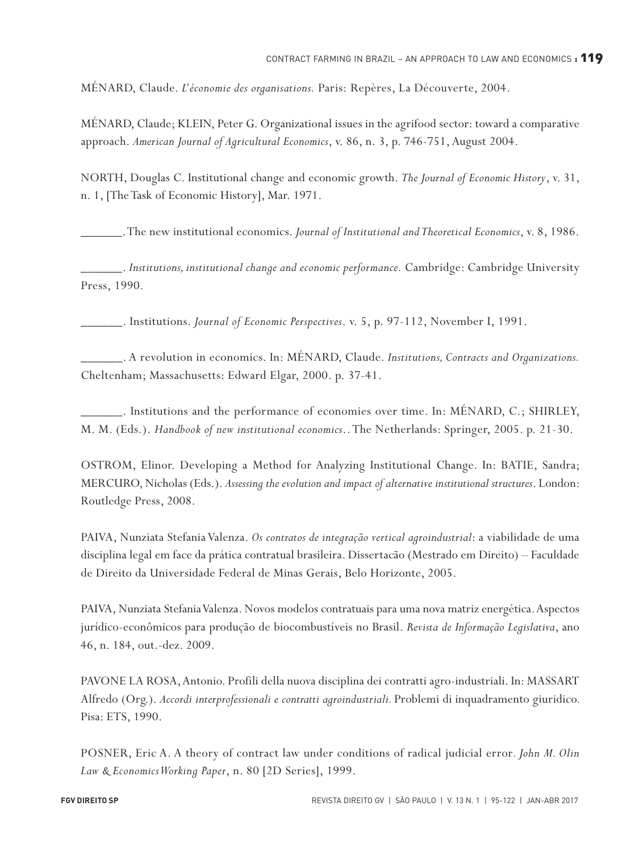MÉNARD, Claude. *L'économie des organisations.* Paris: Repères, La Découverte, 2004.

MÉNARD, Claude; KLEIN, Peter G. Organizational issues in the agrifood sector: toward a comparative approach. *American Journal of Agricultural Economics*, v. 86, n. 3, p. 746-751,August 2004.

NORTH, Douglas C. Institutional change and economic growth. *The Journal of Economic History*, v. 31, n. 1, [TheTask of Economic History], Mar. 1971.

\_\_\_\_\_\_.The new institutional economics. *Journal of Institutional andTheoretical Economics*, v. 8, 1986.

\_\_\_\_\_\_. *Institutions, institutional change and economic performance.* Cambridge: Cambridge University Press, 1990.

\_\_\_\_\_\_. Institutions. *Journal of Economic Perspectives*. v. 5, p. 97-112, November I, 1991.

\_\_\_\_\_\_. A revolution in economics. In: MÉNARD, Claude. *Institutions, Contracts and Organizations.* Cheltenham; Massachusetts: Edward Elgar, 2000. p. 37-41.

\_\_\_\_\_\_. Institutions and the performance of economies over time. In: MÉNARD, C.; SHIRLEY, M. M. (Eds.). *Handbook of new institutional economics*..The Netherlands: Springer, 2005. p. 21-30.

OSTROM, Elinor. Developing a Method for Analyzing Institutional Change. In: BATIE, Sandra; MERCURO,Nicholas (Eds.). *Assessing the evolution and impact of alternative institutional structures*. London: Routledge Press, 2008.

PAIVA, Nunziata StefaniaValenza. *Os contratos de integração vertical agroindustrial*: a viabilidade de uma disciplina legal em face da prática contratual brasileira. Dissertacão (Mestrado em Direito) – Faculdade de Direito da Universidade Federal de Minas Gerais, Belo Horizonte, 2005.

PAIVA, Nunziata Stefania Valenza. Novos modelos contratuais para uma nova matriz energética. Aspectos jurídico-econômicos para produção de biocombustíveis no Brasil. *Revista de Informação Legislativa*, ano 46, n. 184, out.-dez. 2009.

PAVONE LA ROSA,Antonio. Profili della nuova disciplina dei contratti agro-industriali. In: MASSART Alfredo (Org.). *Accordi interprofessionali e contratti agroindustriali.* Problemi di inquadramento giuridico*.* Pisa: ETS, 1990.

POSNER, Eric A. A theory of contract law under conditions of radical judicial error*. John M. Olin Law & EconomicsWorking Paper*, n. 80 [2D Series], 1999.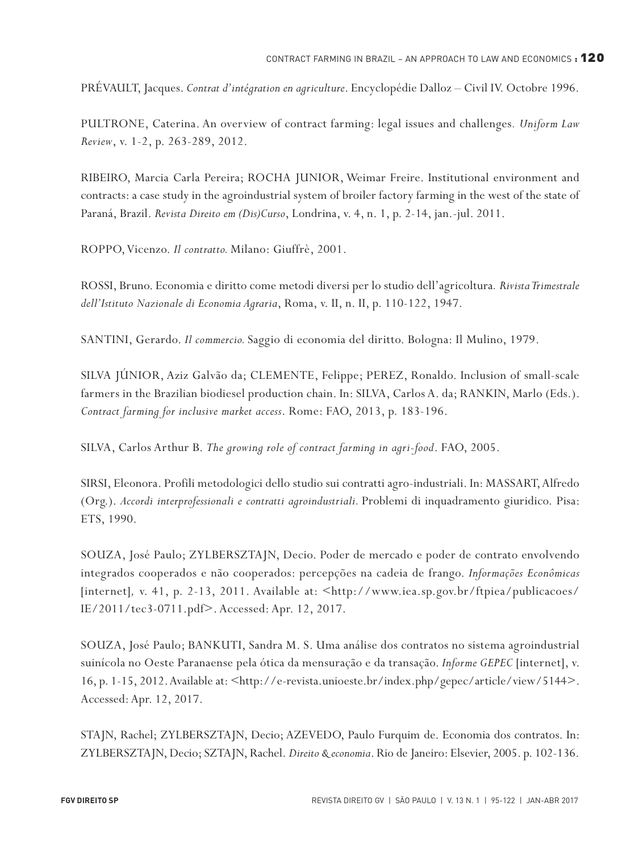PRÉVAULT, Jacques. *Contrat d'intégration en agriculture*. Encyclopédie Dalloz – Civil IV. Octobre 1996.

PULTRONE, Caterina. An overview of contract farming: legal issues and challenges*. Uniform Law Review*, v. 1-2, p. 263-289, 2012.

RIBEIRO, Marcia Carla Pereira; ROCHA JUNIOR, Weimar Freire. Institutional environment and contracts:a case study in the agroindustrial system of broiler factory farming in the west of the state of Paraná, Brazil. *Revista Direito em (Dis)Curso*, Londrina, v. 4, n. 1, p. 2-14, jan.-jul. 2011.

ROPPO,Vicenzo. *Il contratto.* Milano: Giuffrè, 2001.

ROSSI, Bruno. Economia e diritto come metodi diversi per lo studio dell'agricoltura*. RivistaTrimestrale dell'Istituto Nazionale di Economia Agraria*, Roma, v. II, n. II, p. 110-122, 1947.

SANTINI, Gerardo. *Il commercio.* Saggio di economia del diritto. Bologna: Il Mulino, 1979.

SILVA JÚNIOR, Aziz Galvão da; CLEMENTE, Felippe; PEREZ, Ronaldo. Inclusion of small-scale farmers in the Brazilian biodiesel production chain. In: SILVA, Carlos A. da; RANKIN, Marlo (Eds.). *Contract farming for inclusive market access*. Rome: FAO, 2013, p. 183-196.

SILVA, Carlos Arthur B. *The growing role of contract farming in agri-food*. FAO, 2005.

SIRSI, Eleonora. Profili metodologici dello studio sui contratti agro-industriali. In: MASSART,Alfredo (Org.). *Accordi interprofessionali e contratti agroindustriali.* Problemi di inquadramento giuridico. Pisa: ETS, 1990.

SOUZA, José Paulo; ZYLBERSZTAJN, Decio. Poder de mercado e poder de contrato envolvendo integrados cooperados e não cooperados: percepções na cadeia de frango. *Informações Econômicas* [internet]*,* v. 41, p. 2-13, 2011. Available at: [<http://www.iea.sp.gov.br/ftpiea/publicacoes/](http://www.iea.sp.gov.br/ftpiea/publicacoes/IE/2011/tec3-0711.pdf) [IE/2011/tec3-0711.pdf>](http://www.iea.sp.gov.br/ftpiea/publicacoes/IE/2011/tec3-0711.pdf). Accessed: Apr. 12, 2017.

SOUZA, José Paulo; BANKUTI, Sandra M. S. Uma análise dos contratos no sistema agroindustrial suinícola no Oeste Paranaense pela ótica da mensuração e da transação. *Informe GEPEC* [internet], v. 16, p. 1-15, 2012.Available at: [<http://e-revista.unioeste.br/index.php/gepec/article/view/5144>](http://e-revista.unioeste.br/index.php/gepec/article/view/5144). Accessed:Apr. 12, 2017.

STAJN, Rachel; ZYLBERSZTAJN, Decio; AZEVEDO, Paulo Furquim de. Economia dos contratos. In: ZYLBERSZTAJN,Decio; SZTAJN, Rachel. *Direito & economia*. Rio de Janeiro: Elsevier, 2005. p. 102-136.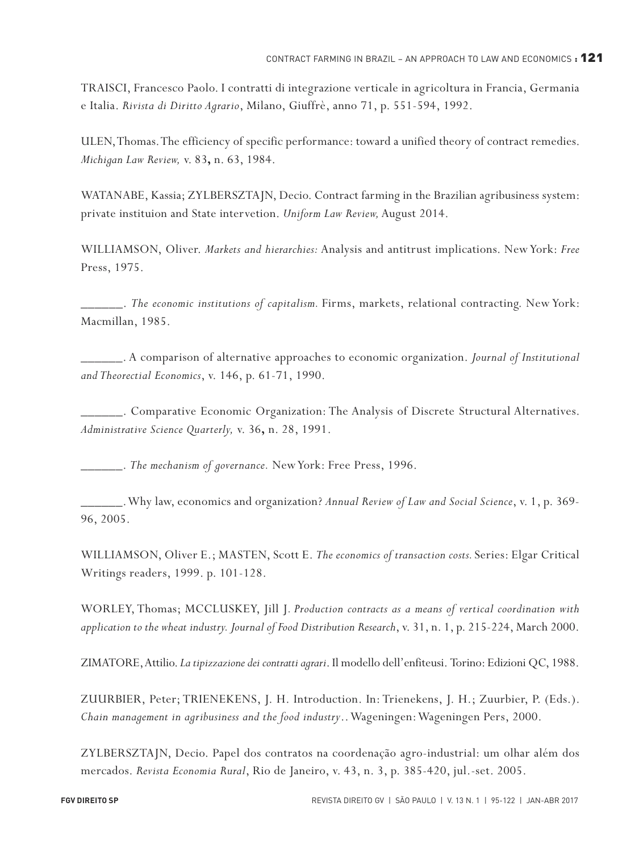TRAISCI, Francesco Paolo. I contratti di integrazione verticale in agricoltura in Francia, Germania e Italia. *Rivista di Diritto Agrario*, Milano, Giuffrè, anno 71, p. 551-594, 1992.

ULEN,Thomas.The efficiency of specific performance: toward a unified theory of contract remedies. *Michigan Law Review,* v. 83**,** n. 63, 1984.

WATANABE, Kassia; ZYLBERSZTAJN, Decio. Contract farming in the Brazilian agribusiness system: private instituion and State intervetion. *Uniform Law Review,* August 2014.

WILLIAMSON, Oliver. *Markets and hierarchies:* Analysis and antitrust implications. NewYork: *Free* Press, 1975.

\_\_\_\_\_\_. *The economic institutions of capitalism.* Firms, markets, relational contracting. NewYork: Macmillan, 1985.

\_\_\_\_\_\_. A comparison of alternative approaches to economic organization. *Journal of Institutional and Theorectial Economics*, v. 146, p. 61-71, 1990.

\_\_\_\_\_\_. Comparative Economic Organization: The Analysis of Discrete Structural Alternatives. *Administrative Science Quarterly,* v. 36**,** n. 28, 1991.

\_\_\_\_\_\_. *The mechanism of governance.* NewYork: Free Press, 1996.

\_\_\_\_\_\_.Why law, economics and organization? *Annual Review of Law and Social Science*, v. 1, p. 369- 96, 2005.

WILLIAMSON, Oliver E.; MASTEN, Scott E. *The economics of transaction costs.* Series: Elgar Critical Writings readers, 1999. p. 101-128.

WORLEY, Thomas; MCCLUSKEY, Jill J*. Production contracts as a means of vertical coordination with application to the wheat industry. Journal of Food Distribution Research*, v. 31, n. 1, p. 215-224, March 2000.

ZIMATORE,Attilio. *Latipizzazionedei contrattiagrari*.Il modello dell'enfiteusi. Torino: Edizioni QC, 1988.

ZUURBIER, Peter; TRIENEKENS, J. H. Introduction. In: Trienekens, J. H.; Zuurbier, P. (Eds.). *Chain management in agribusiness and the food industry*..Wageningen:Wageningen Pers, 2000.

ZYLBERSZTAJN, Decio. Papel dos contratos na coordenação agro-industrial: um olhar além dos mercados. *Revista Economia Rural*, Rio de Janeiro, v. 43, n. 3, p. 385-420, jul.-set. 2005.